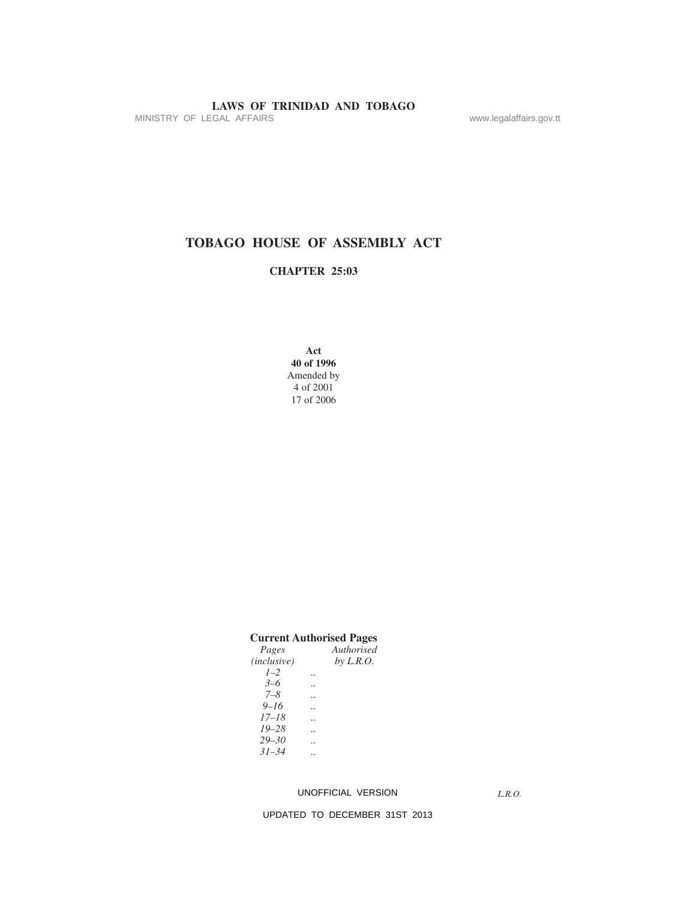MINISTRY OF LEGAL AFFAIRS **www.legalaffairs.gov.tt** 

# **TOBAGO HOUSE OF ASSEMBLY ACT**

## **CHAPTER 25:03**

**Act 40 of 1996** Amended by 4 of 2001 17 of 2006

|                    | <b>Current Authorised Pages</b> |
|--------------------|---------------------------------|
| Pages              | Authorised                      |
| <i>(inclusive)</i> | by L.R.O.                       |
| $1 - 2$            |                                 |
| $3 - 6$            |                                 |
| 7–8                |                                 |
| $9 - 16$           |                                 |
| $17 - 18$          |                                 |
| $19 - 28$          |                                 |
| $29 - 30$          |                                 |
| $31 - 34$          |                                 |
|                    |                                 |

#### UNOFFICIAL VERSION

*L.R.O.*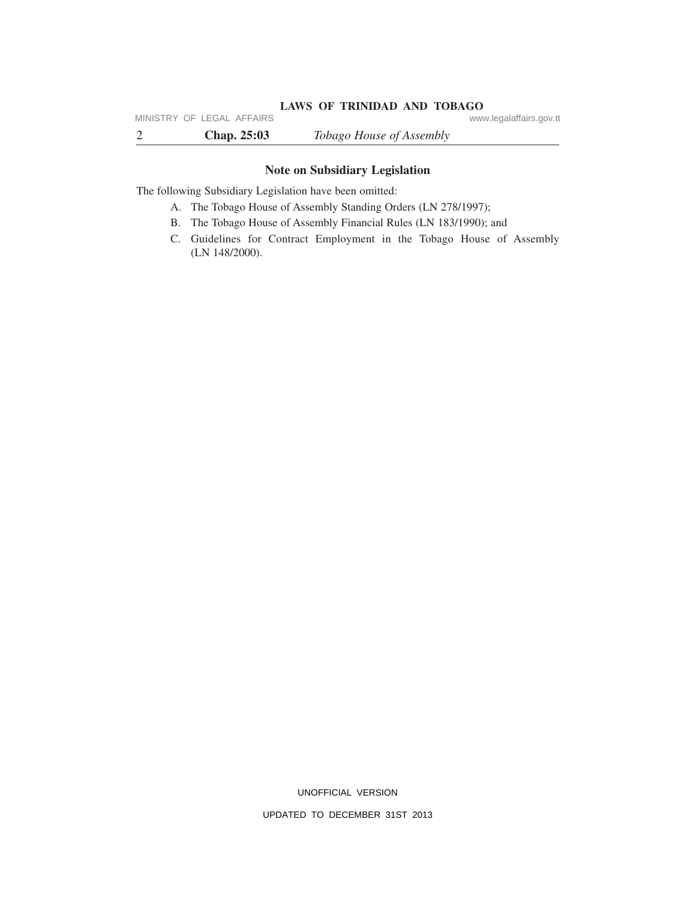# LAWS OF TRINIDAD AND TOBAGO<br>www.legalaffairs.gov.tt

2 **Chap. 25:03** *Tobago House of Assembly* MINISTRY OF LEGAL AFFAIRS

## **Note on Subsidiary Legislation**

The following Subsidiary Legislation have been omitted:

- A. The Tobago House of Assembly Standing Orders (LN 278/1997);
- B. The Tobago House of Assembly Financial Rules (LN 183/1990); and
- C. Guidelines for Contract Employment in the Tobago House of Assembly (LN 148/2000).

UNOFFICIAL VERSION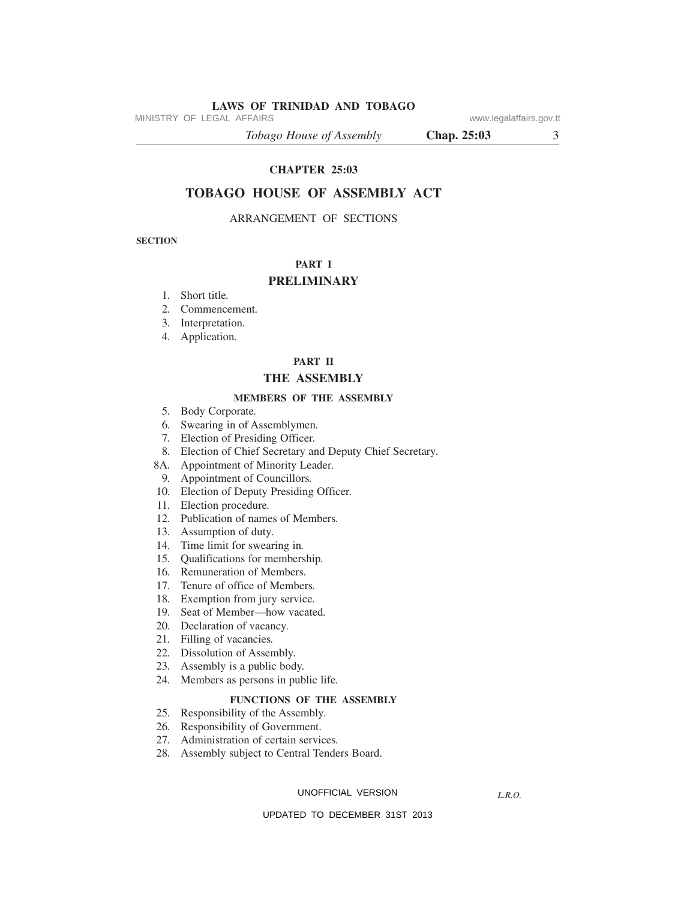MINISTRY OF LEGAL AFFAIRS **WARE ACCOMPTED MINISTRY** OF LEGAL AFFAIRS

*Tobago House of Assembly* **Chap. 25:03** 3

#### **CHAPTER 25:03**

## **TOBAGO HOUSE OF ASSEMBLY ACT**

#### ARRANGEMENT OF SECTIONS

**SECTION**

## **PART I**

## **PRELIMINARY**

- *.* Short title*.*
- *.* Commencement*.*
- *.* Interpretation*.*
- *.* Application*.*

## **PART II**

## **THE ASSEMBLY**

#### **MEMBERS OF THE ASSEMBLY**

- *.* Body Corporate*.*
- *.* Swearing in of Assemblymen*.*
- *.* Election of Presiding Officer*.*
- *.* Election of Chief Secretary and Deputy Chief Secretary*.*
- 8A*.* Appointment of Minority Leader*.*
- *.* Appointment of Councillors*.*
- *.* Election of Deputy Presiding Officer*.*
- *.* Election procedure*.*
- *.* Publication of names of Members*.*
- *.* Assumption of duty*.*
- *.* Time limit for swearing in*.*
- *.* Qualifications for membership*.*
- *.* Remuneration of Members*.*
- *.* Tenure of office of Members*.*
- *.* Exemption from jury service*.*
- *.* Seat of Member—how vacated*.*
- *.* Declaration of vacancy.
- *.* Filling of vacancies*.*
- *.* Dissolution of Assembly.
- *.* Assembly is a public body.
- *.* Members as persons in public life*.*

## **FUNCTIONS OF THE ASSEMBLY**

- *.* Responsibility of the Assembly*.*
- *.* Responsibility of Government.
- *.* Administration of certain services*.*
- *.* Assembly subject to Central Tenders Board.

#### UNOFFICIAL VERSION

*L.R.O.*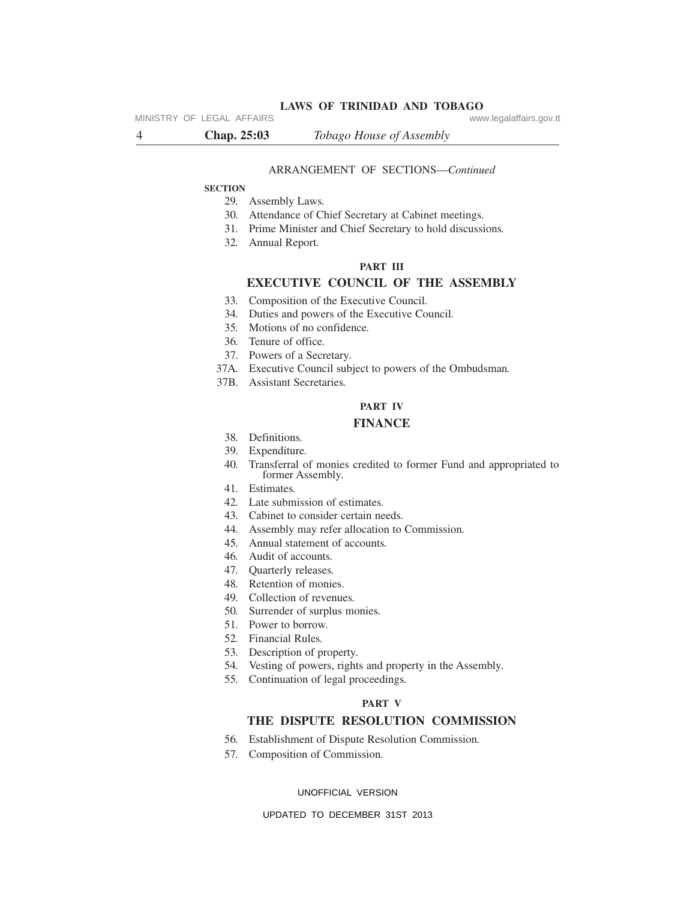MINISTRY OF LEGAL AFFAIRS **WARE ACCOMPTED MINISTRY** OF LEGAL AFFAIRS

#### ARRANGEMENT OF SECTIONS—*Continued*

#### **SECTION**

- *.* Assembly Laws*.*
- *.* Attendance of Chief Secretary at Cabinet meetings*.*
- *.* Prime Minister and Chief Secretary to hold discussions*.*
- *.* Annual Report*.*

#### **PART III**

### **EXECUTIVE COUNCIL OF THE ASSEMBLY**

- *.* Composition of the Executive Council*.*
- *.* Duties and powers of the Executive Council*.*
- *.* Motions of no confidence*.*
- *.* Tenure of office*.*
- *.* Powers of a Secretary*.*
- 37A*.* Executive Council subject to powers of the Ombudsman*.*
- 37B*.* Assistant Secretaries*.*

## **PART IV**

#### **FINANCE**

- *.* Definitions*.*
- *.* Expenditure*.*
- *.* Transferral of monies credited to former Fund and appropriated to former Assembly*.*
- *.* Estimates*.*
- *.* Late submission of estimates*.*
- *.* Cabinet to consider certain needs*.*
- *.* Assembly may refer allocation to Commission*.*
- *.* Annual statement of accounts*.*
- *.* Audit of accounts*.*
- *.* Quarterly releases*.*
- *.* Retention of monies.
- *.* Collection of revenues*.*
- *.* Surrender of surplus monies*.*
- *.* Power to borrow*.*
- *.* Financial Rules*.*
- *.* Description of property*.*
- *.* Vesting of powers, rights and property in the Assembly*.*
- *.* Continuation of legal proceedings*.*

#### **PART V**

## **THE DISPUTE RESOLUTION COMMISSION**

- *.* Establishment of Dispute Resolution Commission*.*
- *.* Composition of Commission*.*

#### UNOFFICIAL VERSION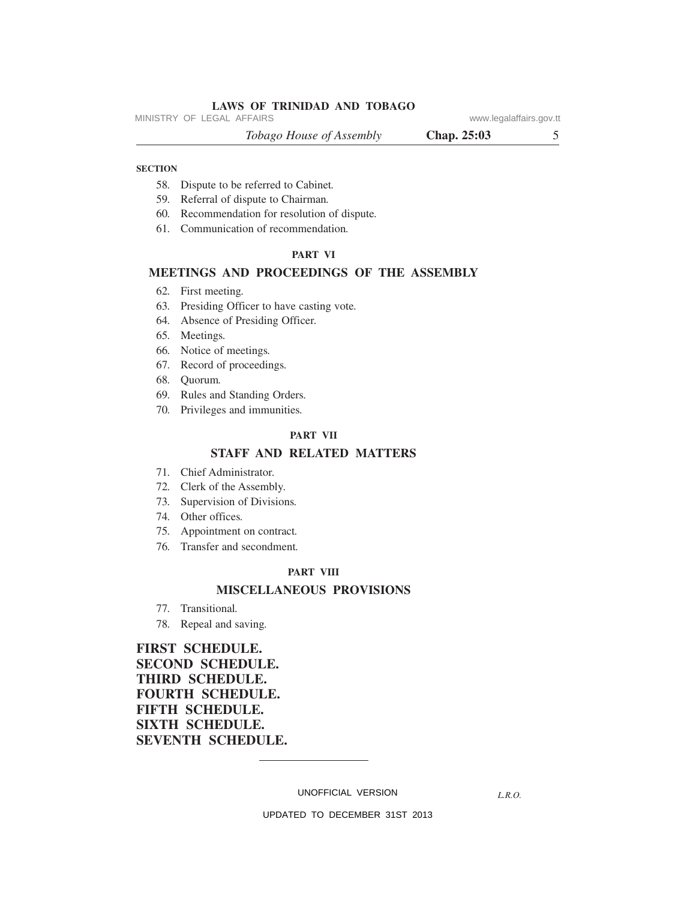MINISTRY OF LEGAL AFFAIRS **WARE ACCOMPTED MINISTRY** OF LEGAL AFFAIRS

*Tobago House of Assembly* **Chap. 25:03** 5

#### **SECTION**

- 58*.* Dispute to be referred to Cabinet*.*
- 59*.* Referral of dispute to Chairman*.*
- 60*.* Recommendation for resolution of dispute*.*
- 61*.* Communication of recommendation*.*

#### **PART VI**

#### **MEETINGS AND PROCEEDINGS OF THE ASSEMBLY**

- 62*.* First meeting*.*
- 63*.* Presiding Officer to have casting vote*.*
- 64*.* Absence of Presiding Officer*.*
- 65*.* Meetings*.*
- 66*.* Notice of meetings*.*
- 67*.* Record of proceedings*.*
- 68*.* Quorum*.*
- 69*.* Rules and Standing Orders*.*
- 70*.* Privileges and immunities*.*

#### **PART VII**

#### **STAFF AND RELATED MATTERS**

- 71*.* Chief Administrator*.*
- 72*.* Clerk of the Assembly*.*
- 73*.* Supervision of Divisions*.*
- 74*.* Other offices*.*
- 75*.* Appointment on contract*.*
- 76*.* Transfer and secondment*.*

#### **PART VIII**

## **MISCELLANEOUS PROVISIONS**

- 77*.* Transitional*.*
- 78*.* Repeal and saving*.*

## **FIRST SCHEDULE. SECOND SCHEDULE. THIRD SCHEDULE. FOURTH SCHEDULE. FIFTH SCHEDULE. SIXTH SCHEDULE. SEVENTH SCHEDULE.**

UNOFFICIAL VERSION

*L.R.O.*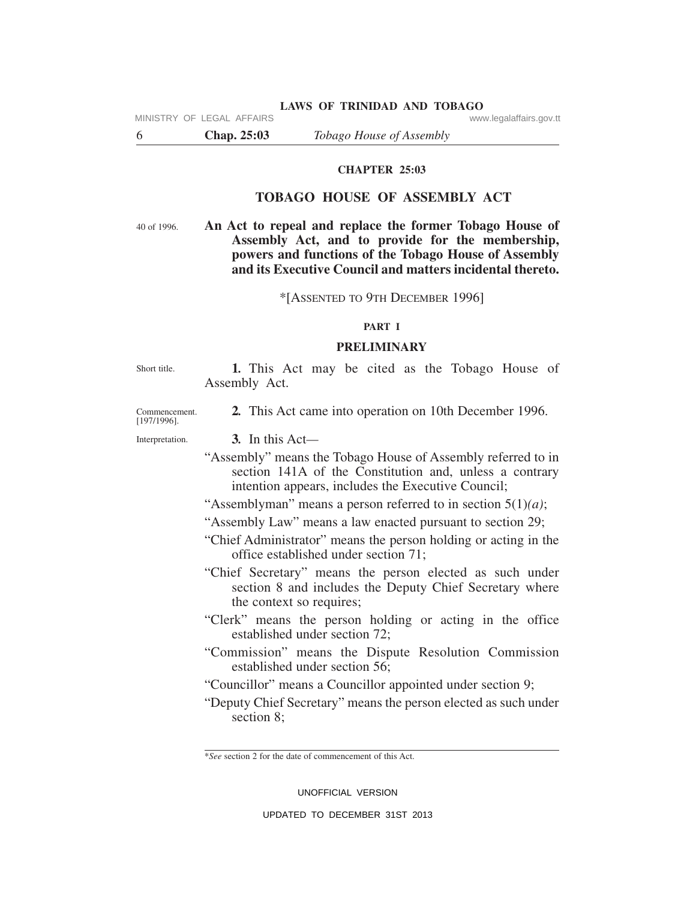6 **Chap. 25:03** *Tobago House of Assembly*

## **CHAPTER 25:03**

## **TOBAGO HOUSE OF ASSEMBLY ACT**

40 of 1996.

**An Act to repeal and replace the former Tobago House of Assembly Act, and to provide for the membership, powers and functions of the Tobago House of Assembly and its Executive Council and matters incidental thereto.**

\*[ASSENTED TO 9TH DECEMBER 1996]

## **PART I**

#### **PRELIMINARY**

Short title.

**1***.* This Act may be cited as the Tobago House of Assembly Act.

**2***.* This Act came into operation on 10th December 1996.

[197/1996]. Interpretation.

Commencement.

**3***.* In this Act*—*

"Assembly" means the Tobago House of Assembly referred to in section 141A of the Constitution and, unless a contrary intention appears, includes the Executive Council;

"Assemblyman" means a person referred to in section 5(1)*(a)*;

"Assembly Law" means a law enacted pursuant to section 29;

"Chief Administrator" means the person holding or acting in the office established under section 71;

"Chief Secretary" means the person elected as such under section 8 and includes the Deputy Chief Secretary where the context so requires;

- "Clerk" means the person holding or acting in the office established under section 72;
- "Commission" means the Dispute Resolution Commission established under section 56;
- "Councillor" means a Councillor appointed under section 9;

"Deputy Chief Secretary" means the person elected as such under section 8;

\**See* section 2 for the date of commencement of this Act.

UNOFFICIAL VERSION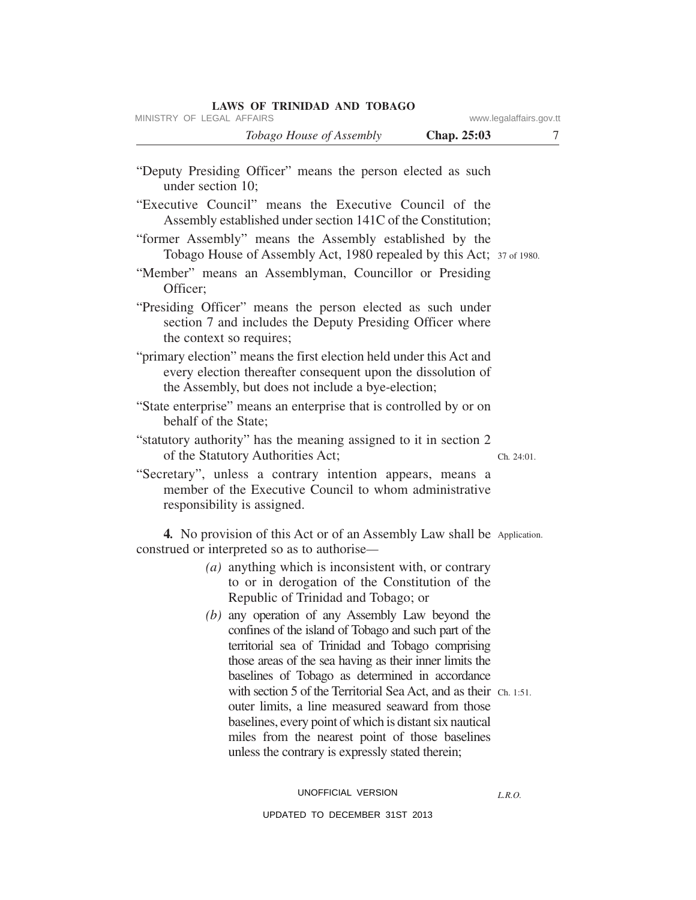| <b>Chap. 25:03</b>                                                                                                                                                                                                                                                                                                                         | 7                                                       |
|--------------------------------------------------------------------------------------------------------------------------------------------------------------------------------------------------------------------------------------------------------------------------------------------------------------------------------------------|---------------------------------------------------------|
| "Deputy Presiding Officer" means the person elected as such                                                                                                                                                                                                                                                                                |                                                         |
| "Executive Council" means the Executive Council of the<br>Assembly established under section 141C of the Constitution;                                                                                                                                                                                                                     |                                                         |
| "former Assembly" means the Assembly established by the<br>Tobago House of Assembly Act, 1980 repealed by this Act; 37 of 1980.                                                                                                                                                                                                            |                                                         |
| "Member" means an Assemblyman, Councillor or Presiding                                                                                                                                                                                                                                                                                     |                                                         |
| "Presiding Officer" means the person elected as such under<br>section 7 and includes the Deputy Presiding Officer where                                                                                                                                                                                                                    |                                                         |
| "primary election" means the first election held under this Act and<br>every election thereafter consequent upon the dissolution of<br>the Assembly, but does not include a bye-election;                                                                                                                                                  |                                                         |
| "State enterprise" means an enterprise that is controlled by or on                                                                                                                                                                                                                                                                         |                                                         |
| "statutory authority" has the meaning assigned to it in section 2                                                                                                                                                                                                                                                                          | Ch. 24:01.                                              |
| "Secretary", unless a contrary intention appears, means a<br>member of the Executive Council to whom administrative                                                                                                                                                                                                                        |                                                         |
| <b>4.</b> No provision of this Act or of an Assembly Law shall be Application.                                                                                                                                                                                                                                                             |                                                         |
| ( <i>a</i> ) anything which is inconsistent with, or contrary<br>to or in derogation of the Constitution of the<br>Republic of Trinidad and Tobago; or                                                                                                                                                                                     |                                                         |
| (b) any operation of any Assembly Law beyond the<br>confines of the island of Tobago and such part of the<br>territorial sea of Trinidad and Tobago comprising                                                                                                                                                                             |                                                         |
| baselines of Tobago as determined in accordance<br>with section 5 of the Territorial Sea Act, and as their Ch. 1:51.<br>outer limits, a line measured seaward from those<br>baselines, every point of which is distant six nautical<br>miles from the nearest point of those baselines<br>unless the contrary is expressly stated therein; |                                                         |
|                                                                                                                                                                                                                                                                                                                                            | those areas of the sea having as their inner limits the |

UNOFFICIAL VERSION

UPDATED TO DECEMBER 31ST 2013

*L.R.O.*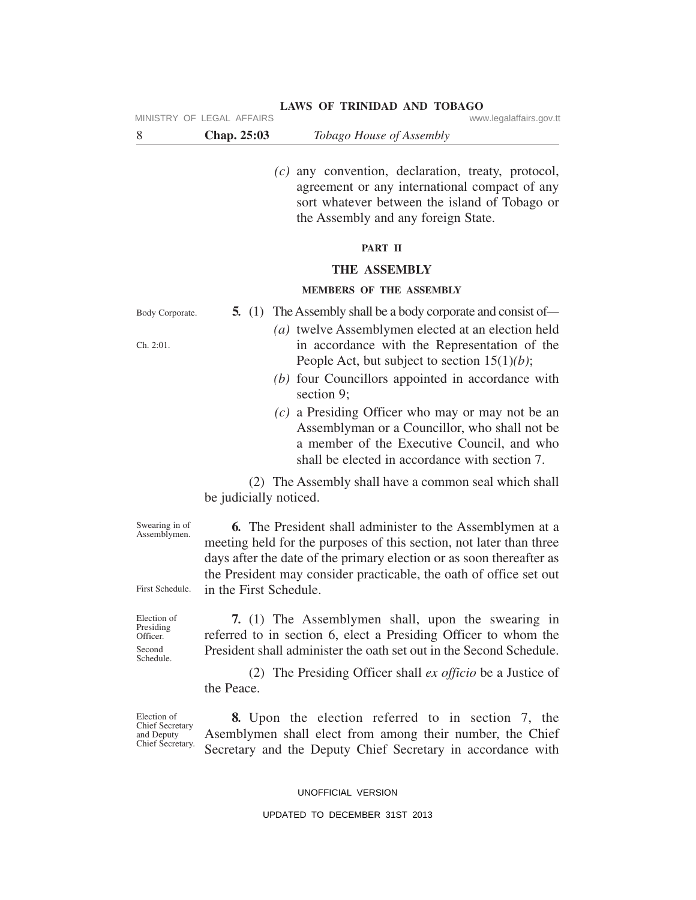MINISTRY OF LEGAL AFFAIRS **WARE ACCOMPTED MINISTRY** OF LEGAL AFFAIRS

| <b>Chap. 25:03</b><br><i>Tobago House of Assembly</i> |  |
|-------------------------------------------------------|--|
|-------------------------------------------------------|--|

*(c)* any convention, declaration, treaty, protocol, agreement or any international compact of any sort whatever between the island of Tobago or the Assembly and any foreign State.

#### **PART II**

#### **THE ASSEMBLY**

#### **MEMBERS OF THE ASSEMBLY**

Body Corporate.

Ch. 2:01.

- **5***.* (1) The Assembly shall be a body corporate and consist of*— (a)* twelve Assemblymen elected at an election held in accordance with the Representation of the People Act, but subject to section 15(1)*(b)*;
	- *(b)* four Councillors appointed in accordance with section 9;
	- *(c)* a Presiding Officer who may or may not be an Assemblyman or a Councillor, who shall not be a member of the Executive Council, and who shall be elected in accordance with section 7.

(2) The Assembly shall have a common seal which shall be judicially noticed.

Swearing in of Assemblymen.

**6***.* The President shall administer to the Assemblymen at a meeting held for the purposes of this section, not later than three days after the date of the primary election or as soon thereafter as the President may consider practicable, the oath of office set out in the First Schedule.

First Schedule.

Election of Presiding Officer. Second Schedule.

**7***.* (1) The Assemblymen shall, upon the swearing in referred to in section 6, elect a Presiding Officer to whom the President shall administer the oath set out in the Second Schedule.

(2) The Presiding Officer shall *ex officio* be a Justice of the Peace.

Election of Chief Secretary and Deputy Chief Secretary.

**8***.* Upon the election referred to in section 7, the Asemblymen shall elect from among their number, the Chief Secretary and the Deputy Chief Secretary in accordance with

UNOFFICIAL VERSION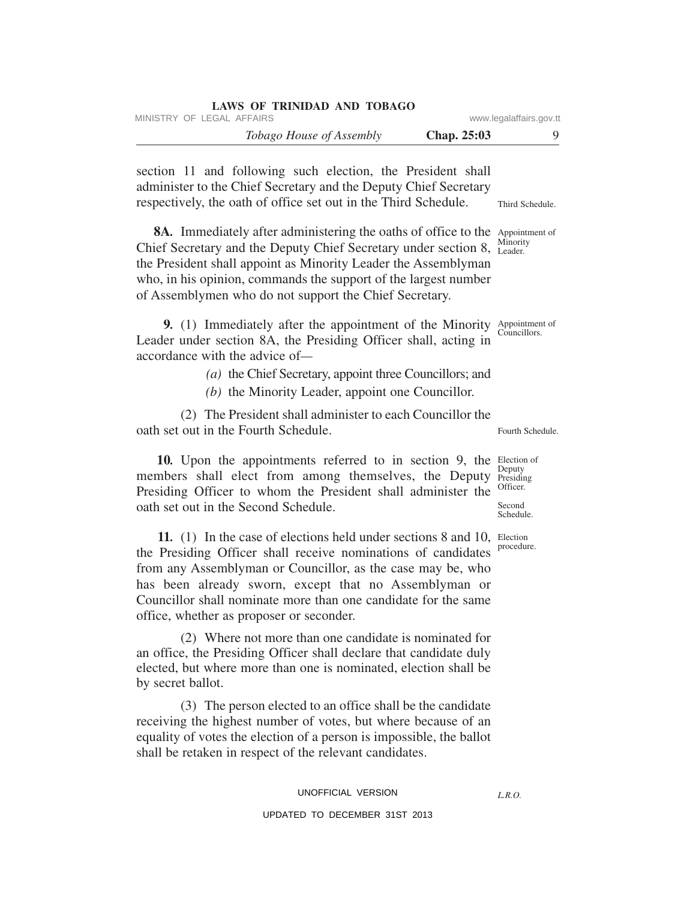| <b>LAWS OF TRINIDAD AND TOBAGO</b><br>MINISTRY OF LEGAL AFFAIRS                                                                                                                                                                                                                                                                                                                |             | www.legalaffairs.gov.tt                                |
|--------------------------------------------------------------------------------------------------------------------------------------------------------------------------------------------------------------------------------------------------------------------------------------------------------------------------------------------------------------------------------|-------------|--------------------------------------------------------|
| Tobago House of Assembly                                                                                                                                                                                                                                                                                                                                                       | Chap. 25:03 | 9                                                      |
| section 11 and following such election, the President shall<br>administer to the Chief Secretary and the Deputy Chief Secretary<br>respectively, the oath of office set out in the Third Schedule.                                                                                                                                                                             |             | Third Schedule.                                        |
| 8A. Immediately after administering the oaths of office to the Appointment of<br>Chief Secretary and the Deputy Chief Secretary under section 8, Minority<br>the President shall appoint as Minority Leader the Assemblyman<br>who, in his opinion, commands the support of the largest number<br>of Assemblymen who do not support the Chief Secretary.                       |             |                                                        |
| 9. (1) Immediately after the appointment of the Minority Appointment of<br>Leader under section 8A, the Presiding Officer shall, acting in<br>accordance with the advice of-<br>(a) the Chief Secretary, appoint three Councillors; and<br>(b) the Minority Leader, appoint one Councillor.                                                                                    |             | Councillors.                                           |
| (2) The President shall administer to each Councillor the<br>oath set out in the Fourth Schedule.                                                                                                                                                                                                                                                                              |             | Fourth Schedule.                                       |
| 10. Upon the appointments referred to in section 9, the Election of<br>members shall elect from among themselves, the Deputy<br>Presiding Officer to whom the President shall administer the<br>oath set out in the Second Schedule.                                                                                                                                           |             | Deputy<br>Presiding<br>Officer.<br>Second<br>Schedule. |
| 11. (1) In the case of elections held under sections 8 and 10, Election<br>the Presiding Officer shall receive nominations of candidates<br>from any Assemblyman or Councillor, as the case may be, who<br>has been already sworn, except that no Assemblyman or<br>Councillor shall nominate more than one candidate for the same<br>office, whether as proposer or seconder. |             | procedure.                                             |
| (2) Where not more than one candidate is nominated for<br>an office, the Presiding Officer shall declare that candidate duly<br>elected, but where more than one is nominated, election shall be<br>by secret ballot.                                                                                                                                                          |             |                                                        |
| (3) The person elected to an office shall be the candidate<br>receiving the highest number of votes, but where because of an<br>equality of votes the election of a person is impossible, the ballot<br>shall be retaken in respect of the relevant candidates.                                                                                                                |             |                                                        |
| UNOFFICIAL VERSION                                                                                                                                                                                                                                                                                                                                                             |             | L.R.O.                                                 |
| UPDATED TO DECEMBER 31ST 2013                                                                                                                                                                                                                                                                                                                                                  |             |                                                        |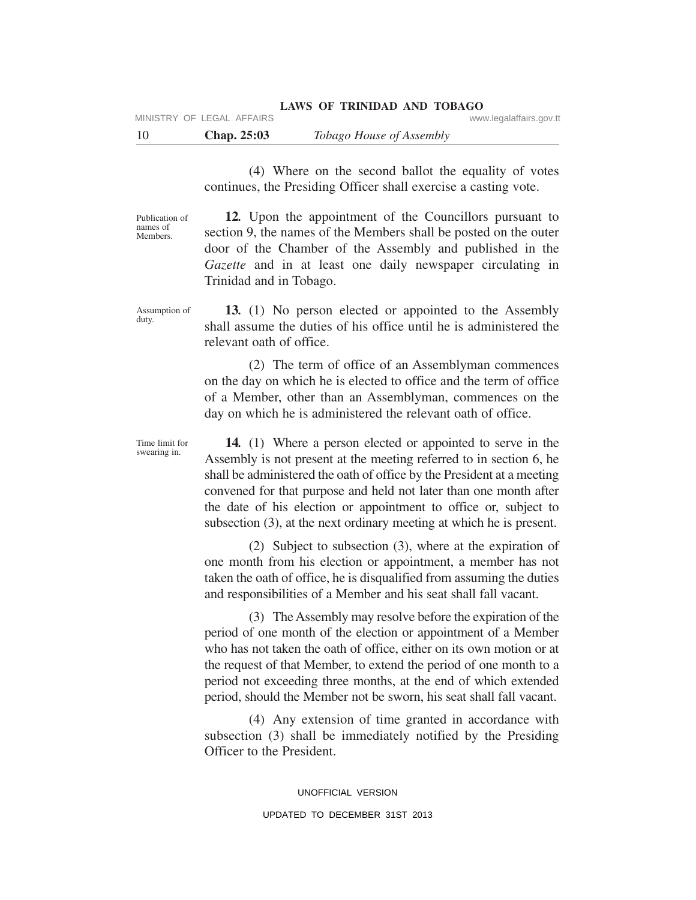(4) Where on the second ballot the equality of votes continues, the Presiding Officer shall exercise a casting vote.

Publication of names of Members.

**12***.* Upon the appointment of the Councillors pursuant to section 9, the names of the Members shall be posted on the outer door of the Chamber of the Assembly and published in the *Gazette* and in at least one daily newspaper circulating in Trinidad and in Tobago.

Assumption of **13***.* (1) No person elected or appointed to the Assembly shall assume the duties of his office until he is administered the relevant oath of office.

> (2) The term of office of an Assemblyman commences on the day on which he is elected to office and the term of office of a Member, other than an Assemblyman, commences on the day on which he is administered the relevant oath of office.

> **14***.* (1) Where a person elected or appointed to serve in the Assembly is not present at the meeting referred to in section 6, he shall be administered the oath of office by the President at a meeting convened for that purpose and held not later than one month after the date of his election or appointment to office or, subject to subsection (3), at the next ordinary meeting at which he is present.

> (2) Subject to subsection (3), where at the expiration of one month from his election or appointment, a member has not taken the oath of office, he is disqualified from assuming the duties and responsibilities of a Member and his seat shall fall vacant.

> (3) The Assembly may resolve before the expiration of the period of one month of the election or appointment of a Member who has not taken the oath of office, either on its own motion or at the request of that Member, to extend the period of one month to a period not exceeding three months, at the end of which extended period, should the Member not be sworn, his seat shall fall vacant.

> (4) Any extension of time granted in accordance with subsection (3) shall be immediately notified by the Presiding Officer to the President.

duty.

Time limit for swearing in.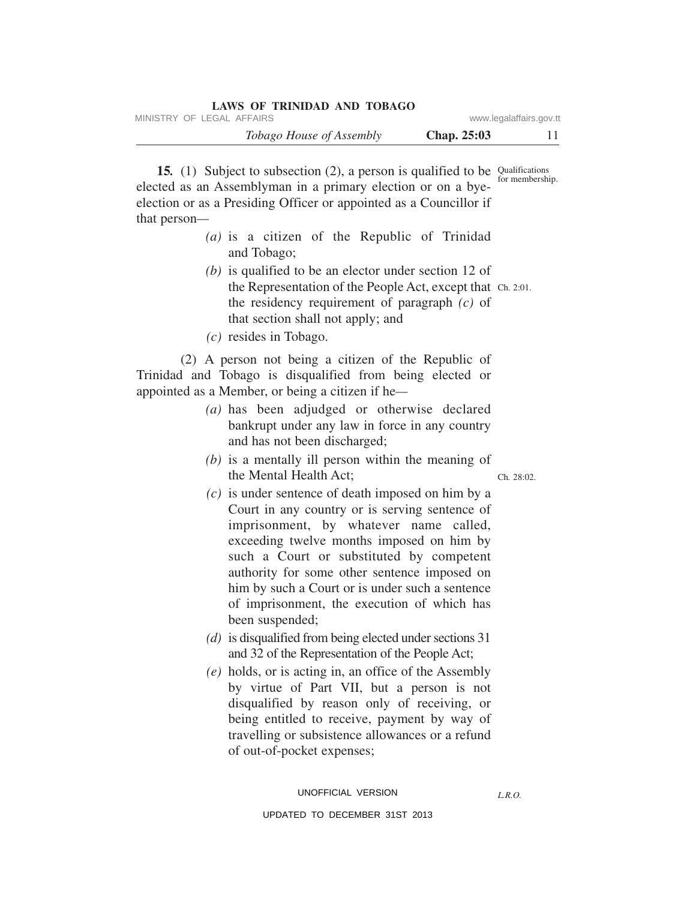|                         | LAWS OF TRINIDAD AND TOBAGO     |
|-------------------------|---------------------------------|
| www.legalaffairs.gov.tt | MINISTRY OF LEGAL AFFAIRS       |
| <b>Chap.</b> 25:03      | <i>Tobago House of Assembly</i> |

**15.** (1) Subject to subsection (2), a person is qualified to be Qualifications for membership. elected as an Assemblyman in a primary election or on a byeelection or as a Presiding Officer or appointed as a Councillor if that person*—*

- *(a)* is a citizen of the Republic of Trinidad and Tobago;
- the Representation of the People Act, except that Ch. 2:01. *(b)* is qualified to be an elector under section 12 of the residency requirement of paragraph *(c)* of that section shall not apply; and
- *(c)* resides in Tobago.

(2) A person not being a citizen of the Republic of Trinidad and Tobago is disqualified from being elected or appointed as a Member, or being a citizen if he*—*

- *(a)* has been adjudged or otherwise declared bankrupt under any law in force in any country and has not been discharged;
- Ch*.* 28:02. *(b)* is a mentally ill person within the meaning of the Mental Health Act;
- *(c)* is under sentence of death imposed on him by a Court in any country or is serving sentence of imprisonment, by whatever name called, exceeding twelve months imposed on him by such a Court or substituted by competent authority for some other sentence imposed on him by such a Court or is under such a sentence of imprisonment, the execution of which has been suspended;
- *(d)* is disqualified from being elected under sections 31 and 32 of the Representation of the People Act;
- *(e)* holds, or is acting in, an office of the Assembly by virtue of Part VII, but a person is not disqualified by reason only of receiving, or being entitled to receive, payment by way of travelling or subsistence allowances or a refund of out-of-pocket expenses;

*L.R.O.*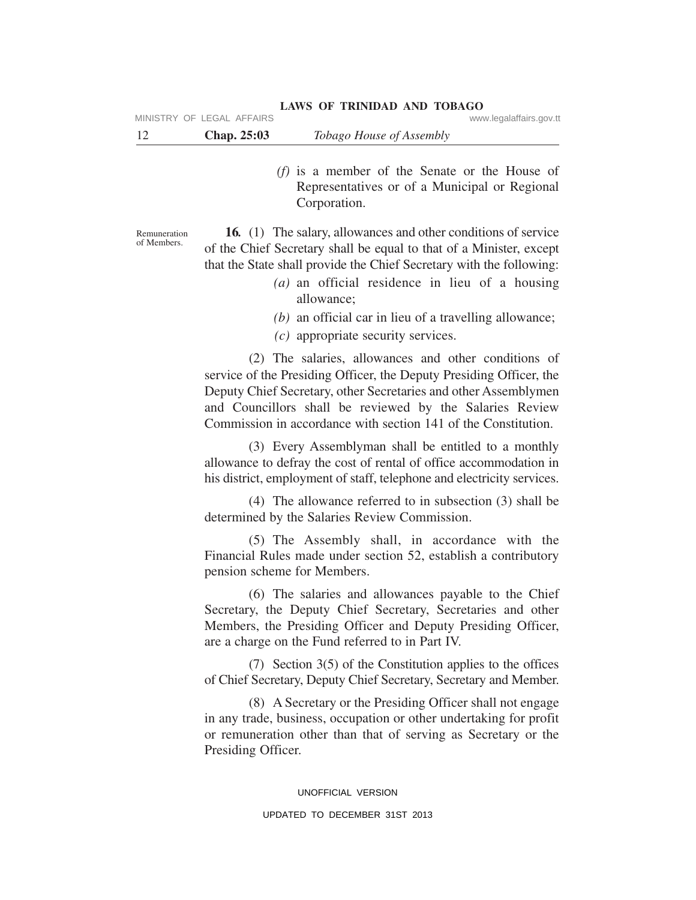Representatives or of a Municipal or Regional Corporation.

*(f)* is a member of the Senate or the House of

Remuneration of Members.

**16***.* (1) The salary, allowances and other conditions of service of the Chief Secretary shall be equal to that of a Minister, except that the State shall provide the Chief Secretary with the following:

- *(a)* an official residence in lieu of a housing allowance;
- *(b)* an official car in lieu of a travelling allowance;
- *(c)* appropriate security services.

(2) The salaries, allowances and other conditions of service of the Presiding Officer, the Deputy Presiding Officer, the Deputy Chief Secretary, other Secretaries and other Assemblymen and Councillors shall be reviewed by the Salaries Review Commission in accordance with section 141 of the Constitution.

(3) Every Assemblyman shall be entitled to a monthly allowance to defray the cost of rental of office accommodation in his district, employment of staff, telephone and electricity services.

(4) The allowance referred to in subsection (3) shall be determined by the Salaries Review Commission.

(5) The Assembly shall, in accordance with the Financial Rules made under section 52, establish a contributory pension scheme for Members.

(6) The salaries and allowances payable to the Chief Secretary, the Deputy Chief Secretary, Secretaries and other Members, the Presiding Officer and Deputy Presiding Officer, are a charge on the Fund referred to in Part IV.

(7) Section 3(5) of the Constitution applies to the offices of Chief Secretary, Deputy Chief Secretary, Secretary and Member.

(8) A Secretary or the Presiding Officer shall not engage in any trade, business, occupation or other undertaking for profit or remuneration other than that of serving as Secretary or the Presiding Officer.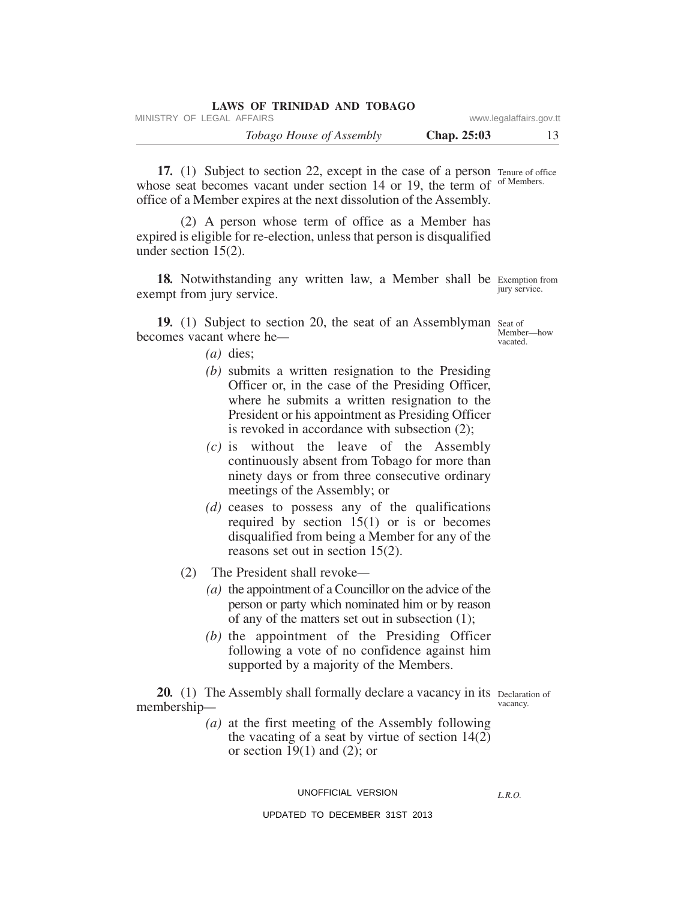| <b>LAWS OF TRINIDAD AND TOBAGO</b> |             |                         |
|------------------------------------|-------------|-------------------------|
| MINISTRY OF LEGAL AFFAIRS          |             | www.legalaffairs.gov.tt |
| <i>Tobago House of Assembly</i>    | Chap. 25:03 |                         |

17. (1) Subject to section 22, except in the case of a person Tenure of office of Members. whose seat becomes vacant under section 14 or 19, the term of office of a Member expires at the next dissolution of the Assembly.

(2) A person whose term of office as a Member has expired is eligible for re-election, unless that person is disqualified under section 15(2).

18. Notwithstanding any written law, a Member shall be Exemption from exempt from jury service.

19. (1) Subject to section 20, the seat of an Assemblyman seat of becomes vacant where he*—*

- *(a)* dies;
- *(b)* submits a written resignation to the Presiding Officer or, in the case of the Presiding Officer, where he submits a written resignation to the President or his appointment as Presiding Officer is revoked in accordance with subsection (2);
- *(c)* is without the leave of the Assembly continuously absent from Tobago for more than ninety days or from three consecutive ordinary meetings of the Assembly; or
- *(d)* ceases to possess any of the qualifications required by section 15(1) or is or becomes disqualified from being a Member for any of the reasons set out in section 15(2).
- (2) The President shall revoke*—*
	- *(a)* the appointment of a Councillor on the advice of the person or party which nominated him or by reason of any of the matters set out in subsection (1);
	- *(b)* the appointment of the Presiding Officer following a vote of no confidence against him supported by a majority of the Members.

20. (1) The Assembly shall formally declare a vacancy in its Declaration of vacancy. membership*—*

> *(a)* at the first meeting of the Assembly following the vacating of a seat by virtue of section  $14(2)$ or section  $19(1)$  and  $(2)$ ; or

#### UNOFFICIAL VERSION

*L.R.O.* 

UPDATED TO DECEMBER 31ST 2013

jury service.

Member—how vacated.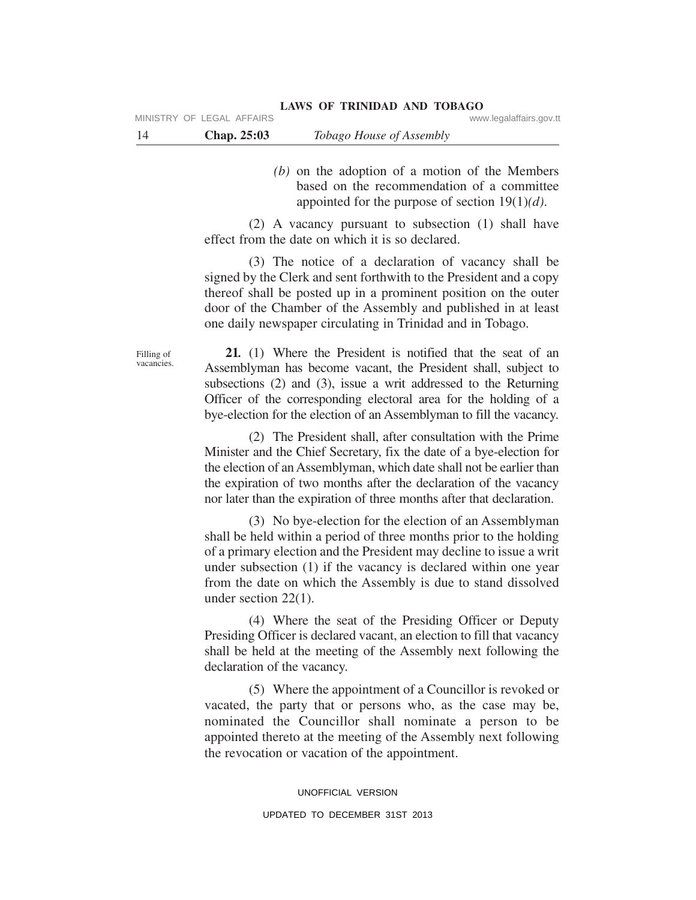*(b)* on the adoption of a motion of the Members based on the recommendation of a committee appointed for the purpose of section 19(1)*(d)*.

(2) A vacancy pursuant to subsection (1) shall have effect from the date on which it is so declared.

(3) The notice of a declaration of vacancy shall be signed by the Clerk and sent forthwith to the President and a copy thereof shall be posted up in a prominent position on the outer door of the Chamber of the Assembly and published in at least one daily newspaper circulating in Trinidad and in Tobago.

**21***.* (1) Where the President is notified that the seat of an Assemblyman has become vacant, the President shall, subject to subsections (2) and (3), issue a writ addressed to the Returning Officer of the corresponding electoral area for the holding of a

(2) The President shall, after consultation with the Prime Minister and the Chief Secretary, fix the date of a bye-election for the election of an Assemblyman, which date shall not be earlier than the expiration of two months after the declaration of the vacancy nor later than the expiration of three months after that declaration.

bye-election for the election of an Assemblyman to fill the vacancy.

(3) No bye-election for the election of an Assemblyman shall be held within a period of three months prior to the holding of a primary election and the President may decline to issue a writ under subsection (1) if the vacancy is declared within one year from the date on which the Assembly is due to stand dissolved under section 22(1).

(4) Where the seat of the Presiding Officer or Deputy Presiding Officer is declared vacant, an election to fill that vacancy shall be held at the meeting of the Assembly next following the declaration of the vacancy.

(5) Where the appointment of a Councillor is revoked or vacated, the party that or persons who, as the case may be, nominated the Councillor shall nominate a person to be appointed thereto at the meeting of the Assembly next following the revocation or vacation of the appointment.

> UNOFFICIAL VERSION UPDATED TO DECEMBER 31ST 2013

Filling of vacancies.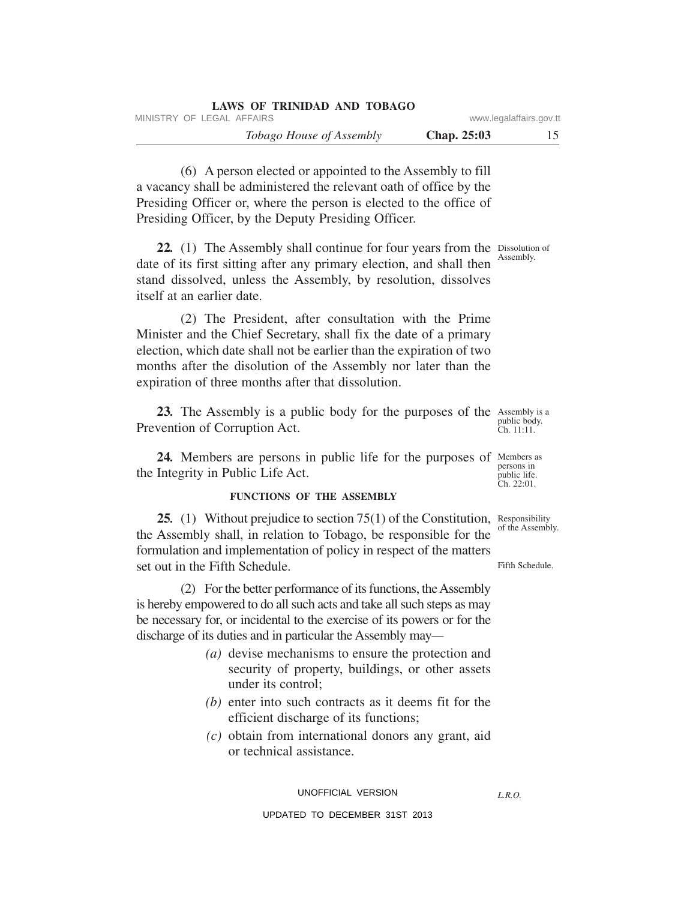| LAWS OF TRINIDAD AND TOBAGO     |                    |                         |
|---------------------------------|--------------------|-------------------------|
| MINISTRY OF LEGAL AFFAIRS       |                    | www.legalaffairs.gov.tt |
| <i>Tobago House of Assembly</i> | <b>Chap. 25:03</b> | 15                      |

(6) A person elected or appointed to the Assembly to fill a vacancy shall be administered the relevant oath of office by the Presiding Officer or, where the person is elected to the office of Presiding Officer, by the Deputy Presiding Officer.

22. (1) The Assembly shall continue for four years from the Dissolution of date of its first sitting after any primary election, and shall then stand dissolved, unless the Assembly, by resolution, dissolves itself at an earlier date.

(2) The President, after consultation with the Prime Minister and the Chief Secretary, shall fix the date of a primary election, which date shall not be earlier than the expiration of two months after the disolution of the Assembly nor later than the expiration of three months after that dissolution.

23. The Assembly is a public body for the purposes of the Assembly is a Prevention of Corruption Act.

24. Members are persons in public life for the purposes of Members as persons in public life. the Integrity in Public Life Act.

#### **FUNCTIONS OF THE ASSEMBLY**

25. (1) Without prejudice to section 75(1) of the Constitution, Responsibility the Assembly shall, in relation to Tobago, be responsible for the formulation and implementation of policy in respect of the matters set out in the Fifth Schedule.

(2) For the better performance of its functions, the Assembly is hereby empowered to do all such acts and take all such steps as may be necessary for, or incidental to the exercise of its powers or for the discharge of its duties and in particular the Assembly may*—*

- *(a)* devise mechanisms to ensure the protection and security of property, buildings, or other assets under its control;
- *(b)* enter into such contracts as it deems fit for the efficient discharge of its functions;
- *(c)* obtain from international donors any grant, aid or technical assistance.

UNOFFICIAL VERSION

UPDATED TO DECEMBER 31ST 2013

of the Assembly.

Ch. 22:01.

Fifth Schedule.

*L.R.O.*

Assembly.

public body. Ch. 11:11.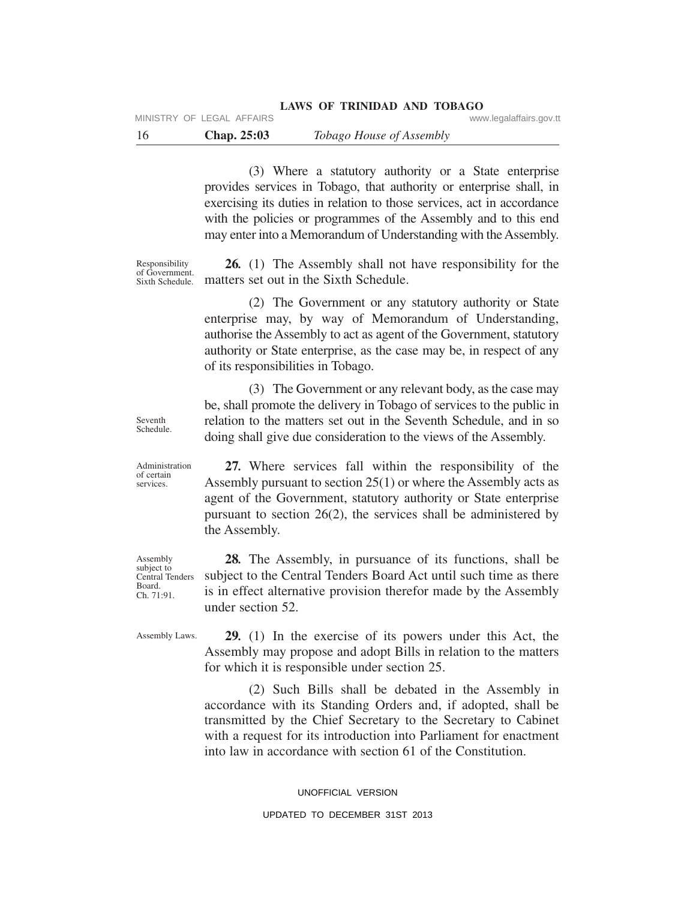the Assembly.

(3) Where a statutory authority or a State enterprise provides services in Tobago, that authority or enterprise shall, in exercising its duties in relation to those services, act in accordance with the policies or programmes of the Assembly and to this end may enter into a Memorandum of Understanding with the Assembly.

Responsibility of Government. Sixth Schedule.

**26***.* (1) The Assembly shall not have responsibility for the matters set out in the Sixth Schedule.

(2) The Government or any statutory authority or State enterprise may, by way of Memorandum of Understanding, authorise the Assembly to act as agent of the Government, statutory authority or State enterprise, as the case may be, in respect of any of its responsibilities in Tobago.

(3) The Government or any relevant body, as the case may be, shall promote the delivery in Tobago of services to the public in relation to the matters set out in the Seventh Schedule, and in so doing shall give due consideration to the views of the Assembly.

**27***.* Where services fall within the responsibility of the Assembly pursuant to section 25(1) or where the Assembly acts as agent of the Government, statutory authority or State enterprise pursuant to section 26(2), the services shall be administered by

**28***.* The Assembly, in pursuance of its functions, shall be subject to the Central Tenders Board Act until such time as there is in effect alternative provision therefor made by the Assembly under section 52.

Assembly Laws.

**29***.* (1) In the exercise of its powers under this Act, the Assembly may propose and adopt Bills in relation to the matters for which it is responsible under section 25.

(2) Such Bills shall be debated in the Assembly in accordance with its Standing Orders and, if adopted, shall be transmitted by the Chief Secretary to the Secretary to Cabinet with a request for its introduction into Parliament for enactment into law in accordance with section 61 of the Constitution.

> UNOFFICIAL VERSION UPDATED TO DECEMBER 31ST 2013

Seventh Schedule.

Administration of certain services.

Assembly subject to Central Tenders Board. Ch. 71:91.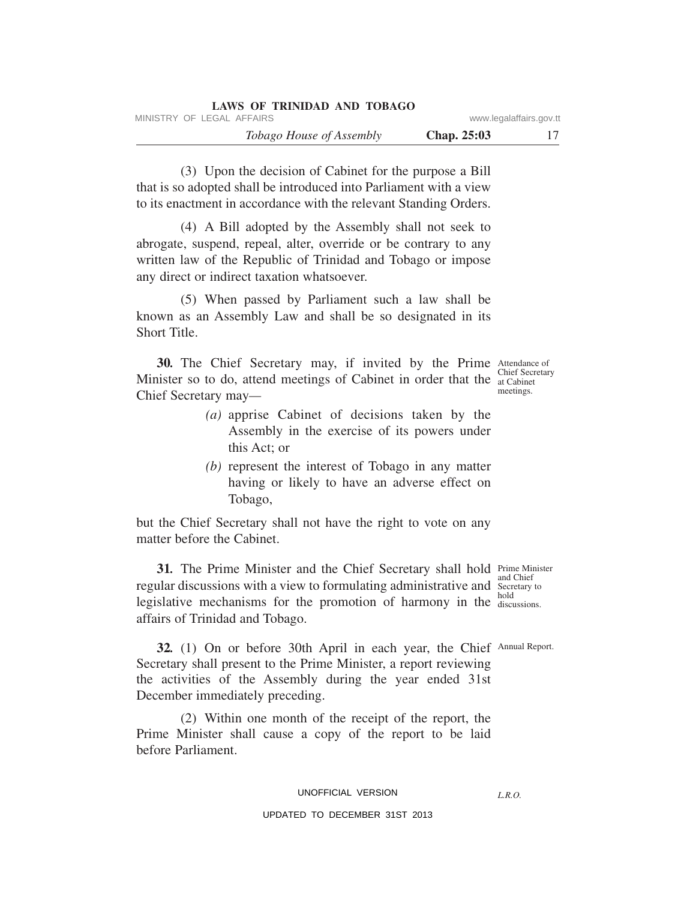|                         |                    | LAWS OF TRINIDAD AND TOBAGO     |                           |  |
|-------------------------|--------------------|---------------------------------|---------------------------|--|
| www.legalaffairs.gov.tt |                    |                                 | MINISTRY OF LEGAL AFFAIRS |  |
|                         | <b>Chap. 25:03</b> | <i>Tobago House of Assembly</i> |                           |  |

(3) Upon the decision of Cabinet for the purpose a Bill that is so adopted shall be introduced into Parliament with a view to its enactment in accordance with the relevant Standing Orders.

(4) A Bill adopted by the Assembly shall not seek to abrogate, suspend, repeal, alter, override or be contrary to any written law of the Republic of Trinidad and Tobago or impose any direct or indirect taxation whatsoever.

(5) When passed by Parliament such a law shall be known as an Assembly Law and shall be so designated in its Short Title.

**30.** The Chief Secretary may, if invited by the Prime Attendance of Minister so to do, attend meetings of Cabinet in order that the  $\frac{C_{\text{inter}}}{at \text{Cabinet}}$ Chief Secretary may*—*

- *(a)* apprise Cabinet of decisions taken by the Assembly in the exercise of its powers under this Act; or
- *(b)* represent the interest of Tobago in any matter having or likely to have an adverse effect on Tobago,

but the Chief Secretary shall not have the right to vote on any matter before the Cabinet.

**31.** The Prime Minister and the Chief Secretary shall hold Prime Minister regular discussions with a view to formulating administrative and Secretary to hold legislative mechanisms for the promotion of harmony in the discussions. affairs of Trinidad and Tobago.

32. (1) On or before 30th April in each year, the Chief Annual Report. Secretary shall present to the Prime Minister, a report reviewing the activities of the Assembly during the year ended 31st December immediately preceding.

(2) Within one month of the receipt of the report, the Prime Minister shall cause a copy of the report to be laid before Parliament.

## UNOFFICIAL VERSION

## UPDATED TO DECEMBER 31ST 2013

and Chief

*L.R.O.*

Chief Secretary meetings.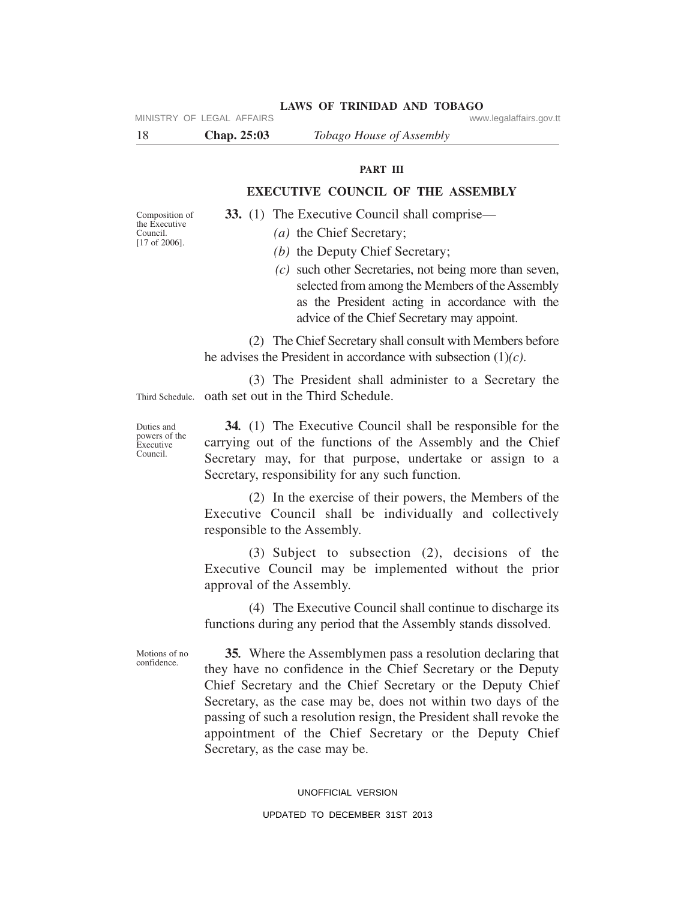| -18 | <b>Chap. 25:03</b>        | Tobago House of Assembly |                         |
|-----|---------------------------|--------------------------|-------------------------|
|     | MINISTRY OF LEGAL AFFAIRS |                          | www.legalaffairs.gov.tt |

## **PART III**

**LAWS OF TRINIDAD AND TOBAGO**

## **EXECUTIVE COUNCIL OF THE ASSEMBLY**

**33.** (1) The Executive Council shall comprise—

*(a)* the Chief Secretary;

- *(b)* the Deputy Chief Secretary;
- *(c)* such other Secretaries, not being more than seven, selected from among the Members of the Assembly as the President acting in accordance with the advice of the Chief Secretary may appoint.

(2) The Chief Secretary shall consult with Members before he advises the President in accordance with subsection (1)*(c)*.

Third Schedule. oath set out in the Third Schedule. (3) The President shall administer to a Secretary the

Duties and powers of the Executive Council.

Composition of the Executive Council. [17 of 2006].

> **34***.* (1) The Executive Council shall be responsible for the carrying out of the functions of the Assembly and the Chief Secretary may, for that purpose, undertake or assign to a Secretary, responsibility for any such function.

> (2) In the exercise of their powers, the Members of the Executive Council shall be individually and collectively responsible to the Assembly.

> (3) Subject to subsection (2), decisions of the Executive Council may be implemented without the prior approval of the Assembly.

> (4) The Executive Council shall continue to discharge its functions during any period that the Assembly stands dissolved.

Motions of no confidence.

**35***.* Where the Assemblymen pass a resolution declaring that they have no confidence in the Chief Secretary or the Deputy Chief Secretary and the Chief Secretary or the Deputy Chief Secretary, as the case may be, does not within two days of the passing of such a resolution resign, the President shall revoke the appointment of the Chief Secretary or the Deputy Chief Secretary, as the case may be.

#### UNOFFICIAL VERSION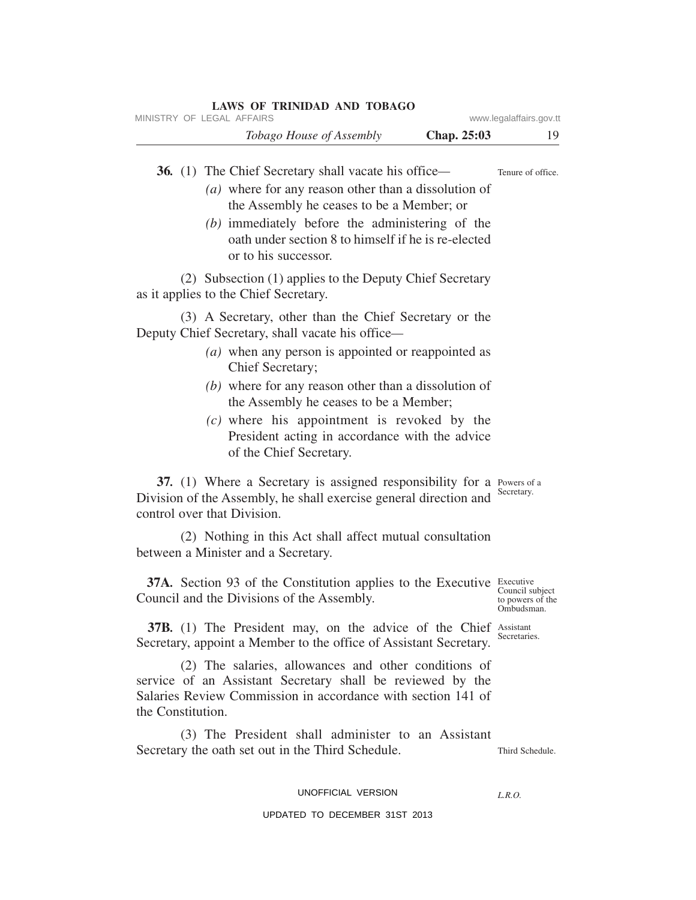| MINISTRY OF LEGAL AFFAIRS   |                                             | <b>LAWS OF TRINIDAD AND TOBAGO</b>                                                                       |                                                                                                                                                                                                                                                                         | www.legalaffairs.gov.tt                           |
|-----------------------------|---------------------------------------------|----------------------------------------------------------------------------------------------------------|-------------------------------------------------------------------------------------------------------------------------------------------------------------------------------------------------------------------------------------------------------------------------|---------------------------------------------------|
|                             |                                             | Tobago House of Assembly                                                                                 | Chap. 25:03                                                                                                                                                                                                                                                             | 19.                                               |
|                             | or to his successor.                        | <b>36.</b> (1) The Chief Secretary shall vacate his office—<br>the Assembly he ceases to be a Member; or | (a) where for any reason other than a dissolution of<br>(b) immediately before the administering of the<br>oath under section 8 to himself if he is re-elected                                                                                                          | Tenure of office.                                 |
|                             | as it applies to the Chief Secretary.       |                                                                                                          | (2) Subsection (1) applies to the Deputy Chief Secretary                                                                                                                                                                                                                |                                                   |
|                             | Chief Secretary;<br>of the Chief Secretary. | Deputy Chief Secretary, shall vacate his office-<br>the Assembly he ceases to be a Member;               | (3) A Secretary, other than the Chief Secretary or the<br>(a) when any person is appointed or reappointed as<br>$(b)$ where for any reason other than a dissolution of<br>(c) where his appointment is revoked by the<br>President acting in accordance with the advice |                                                   |
| control over that Division. |                                             |                                                                                                          | 37. (1) Where a Secretary is assigned responsibility for a Powers of a<br>Division of the Assembly, he shall exercise general direction and                                                                                                                             | Secretary.                                        |
|                             | between a Minister and a Secretary.         |                                                                                                          | (2) Nothing in this Act shall affect mutual consultation                                                                                                                                                                                                                |                                                   |
|                             |                                             | Council and the Divisions of the Assembly.                                                               | <b>37A.</b> Section 93 of the Constitution applies to the Executive Executive                                                                                                                                                                                           | Council subject<br>to powers of the<br>Ombudsman. |
|                             |                                             |                                                                                                          | <b>37B.</b> (1) The President may, on the advice of the Chief Assistant<br>Secretary, appoint a Member to the office of Assistant Secretary.                                                                                                                            | Secretaries.                                      |
| the Constitution.           |                                             |                                                                                                          | (2) The salaries, allowances and other conditions of<br>service of an Assistant Secretary shall be reviewed by the<br>Salaries Review Commission in accordance with section 141 of                                                                                      |                                                   |
|                             |                                             | Secretary the oath set out in the Third Schedule.                                                        | (3) The President shall administer to an Assistant                                                                                                                                                                                                                      | Third Schedule.                                   |
|                             |                                             | UNOFFICIAL VERSION<br>UPDATED TO DECEMBER 31ST 2013                                                      |                                                                                                                                                                                                                                                                         | L.R.O.                                            |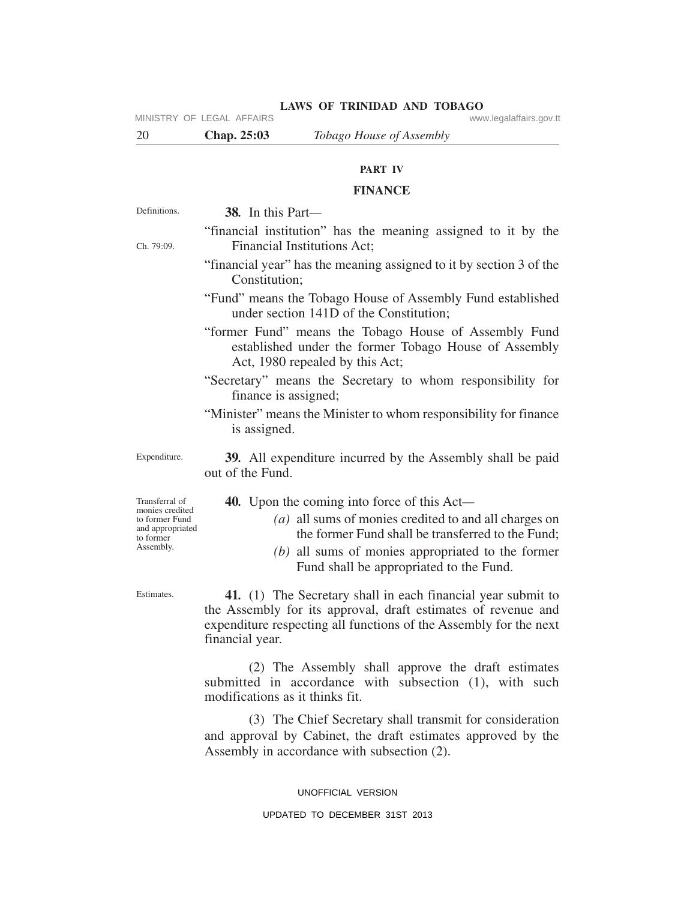MINISTRY OF LEGAL AFFAIRS **WARE ACCOMPTED MINISTRY** OF LEGAL AFFAIRS

**LAWS OF TRINIDAD AND TOBAGO**

20 **Chap. 25:03** *Tobago House of Assembly*

## **PART IV**

## **FINANCE**

**38***.* In this Part*—*

"financial institution" has the meaning assigned to it by the Financial Institutions Act;

"financial year" has the meaning assigned to it by section 3 of the Constitution;

"Fund" means the Tobago House of Assembly Fund established under section 141D of the Constitution;

"former Fund" means the Tobago House of Assembly Fund established under the former Tobago House of Assembly Act, 1980 repealed by this Act;

"Secretary" means the Secretary to whom responsibility for finance is assigned;

"Minister" means the Minister to whom responsibility for finance is assigned.

Expenditure.

Definitions.

Ch. 79:09.

**39***.* All expenditure incurred by the Assembly shall be paid out of the Fund.

**40***.* Upon the coming into force of this Act*—*

- *(a)* all sums of monies credited to and all charges on the former Fund shall be transferred to the Fund;
- *(b)* all sums of monies appropriated to the former Fund shall be appropriated to the Fund.

**41***.* (1) The Secretary shall in each financial year submit to the Assembly for its approval, draft estimates of revenue and expenditure respecting all functions of the Assembly for the next financial year.

(2) The Assembly shall approve the draft estimates submitted in accordance with subsection (1), with such modifications as it thinks fit.

(3) The Chief Secretary shall transmit for consideration and approval by Cabinet, the draft estimates approved by the Assembly in accordance with subsection (2).

UNOFFICIAL VERSION

Transferral of monies credited to former Fund and appropriated to former Assembly.

Estimates.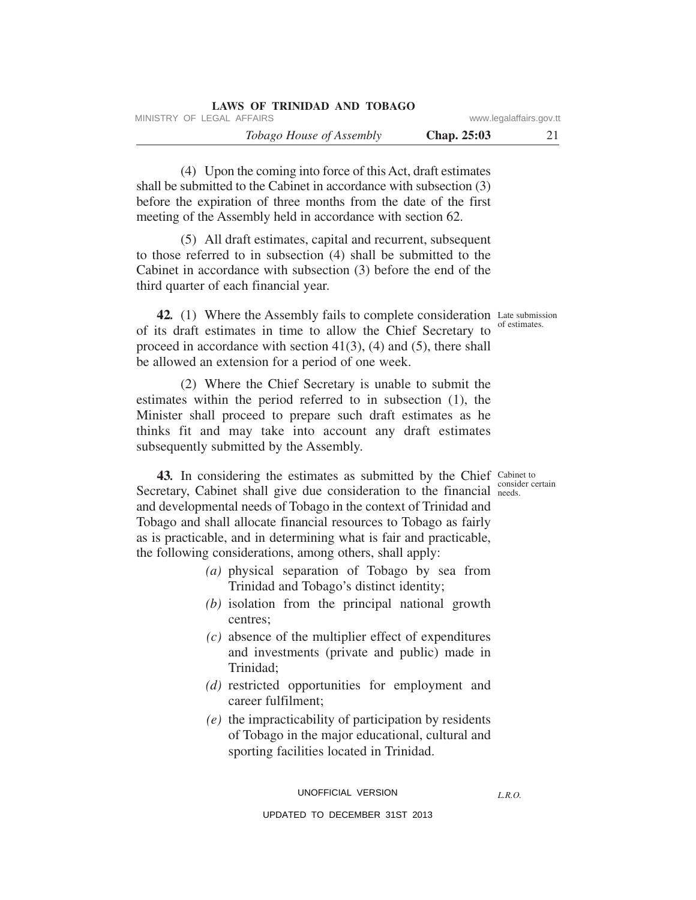| LAWS OF TRINIDAD AND TOBAGO     |                    |                         |
|---------------------------------|--------------------|-------------------------|
| MINISTRY OF LEGAL AFFAIRS       |                    | www.legalaffairs.gov.tt |
| <i>Tobago House of Assembly</i> | <b>Chap. 25:03</b> |                         |

(4) Upon the coming into force of this Act, draft estimates shall be submitted to the Cabinet in accordance with subsection (3) before the expiration of three months from the date of the first meeting of the Assembly held in accordance with section 62.

(5) All draft estimates, capital and recurrent, subsequent to those referred to in subsection (4) shall be submitted to the Cabinet in accordance with subsection (3) before the end of the third quarter of each financial year.

42. (1) Where the Assembly fails to complete consideration Late submission of its draft estimates in time to allow the Chief Secretary to proceed in accordance with section  $41(3)$ ,  $(4)$  and  $(5)$ , there shall be allowed an extension for a period of one week.

(2) Where the Chief Secretary is unable to submit the estimates within the period referred to in subsection (1), the Minister shall proceed to prepare such draft estimates as he thinks fit and may take into account any draft estimates subsequently submitted by the Assembly.

43. In considering the estimates as submitted by the Chief Cabinet to Secretary, Cabinet shall give due consideration to the financial needs. and developmental needs of Tobago in the context of Trinidad and Tobago and shall allocate financial resources to Tobago as fairly as is practicable, and in determining what is fair and practicable, the following considerations, among others, shall apply:

- *(a)* physical separation of Tobago by sea from Trinidad and Tobago's distinct identity;
- *(b)* isolation from the principal national growth centres;
- *(c)* absence of the multiplier effect of expenditures and investments (private and public) made in Trinidad;
- *(d)* restricted opportunities for employment and career fulfilment;
- *(e)* the impracticability of participation by residents of Tobago in the major educational, cultural and sporting facilities located in Trinidad.

UNOFFICIAL VERSION

*L.R.O.* 

UPDATED TO DECEMBER 31ST 2013

of estimates.

consider certain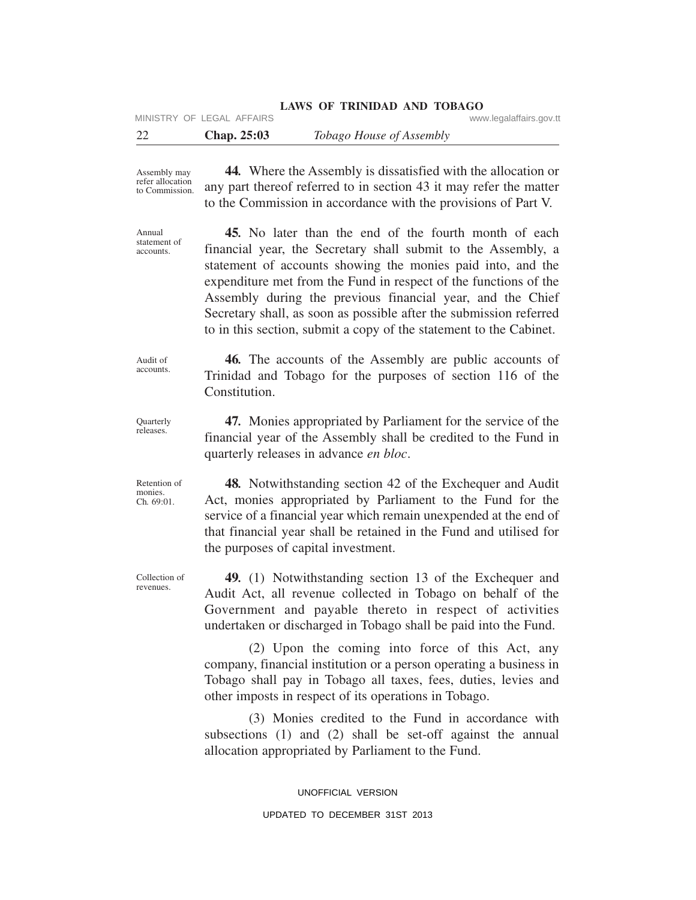|    |                           | <b>LAWS OF TRINIDAD AND TOBAGO</b> |                         |
|----|---------------------------|------------------------------------|-------------------------|
|    | MINISTRY OF LEGAL AFFAIRS |                                    | www.legalaffairs.gov.tt |
| 22 | Chap. $25:03$             | <i>Tobago House of Assembly</i>    |                         |

Assembly may refer allocation to Commission.

Annual statement of accounts.

**45***.* No later than the end of the fourth month of each financial year, the Secretary shall submit to the Assembly, a statement of accounts showing the monies paid into, and the expenditure met from the Fund in respect of the functions of the Assembly during the previous financial year, and the Chief Secretary shall, as soon as possible after the submission referred to in this section, submit a copy of the statement to the Cabinet.

**44***.* Where the Assembly is dissatisfied with the allocation or any part thereof referred to in section 43 it may refer the matter to the Commission in accordance with the provisions of Part V.

Audit of accounts.

**Ouarterly** releases.

Retention of monies. Ch*.* 69:01.

**46***.* The accounts of the Assembly are public accounts of Trinidad and Tobago for the purposes of section 116 of the Constitution.

**47***.* Monies appropriated by Parliament for the service of the financial year of the Assembly shall be credited to the Fund in quarterly releases in advance *en bloc*.

**48***.* Notwithstanding section 42 of the Exchequer and Audit Act, monies appropriated by Parliament to the Fund for the service of a financial year which remain unexpended at the end of that financial year shall be retained in the Fund and utilised for the purposes of capital investment.

**49***.* (1) Notwithstanding section 13 of the Exchequer and Audit Act, all revenue collected in Tobago on behalf of the Government and payable thereto in respect of activities undertaken or discharged in Tobago shall be paid into the Fund.

(2) Upon the coming into force of this Act, any company, financial institution or a person operating a business in Tobago shall pay in Tobago all taxes, fees, duties, levies and other imposts in respect of its operations in Tobago.

(3) Monies credited to the Fund in accordance with subsections (1) and (2) shall be set-off against the annual allocation appropriated by Parliament to the Fund.

> UNOFFICIAL VERSION UPDATED TO DECEMBER 31ST 2013

Collection of revenues.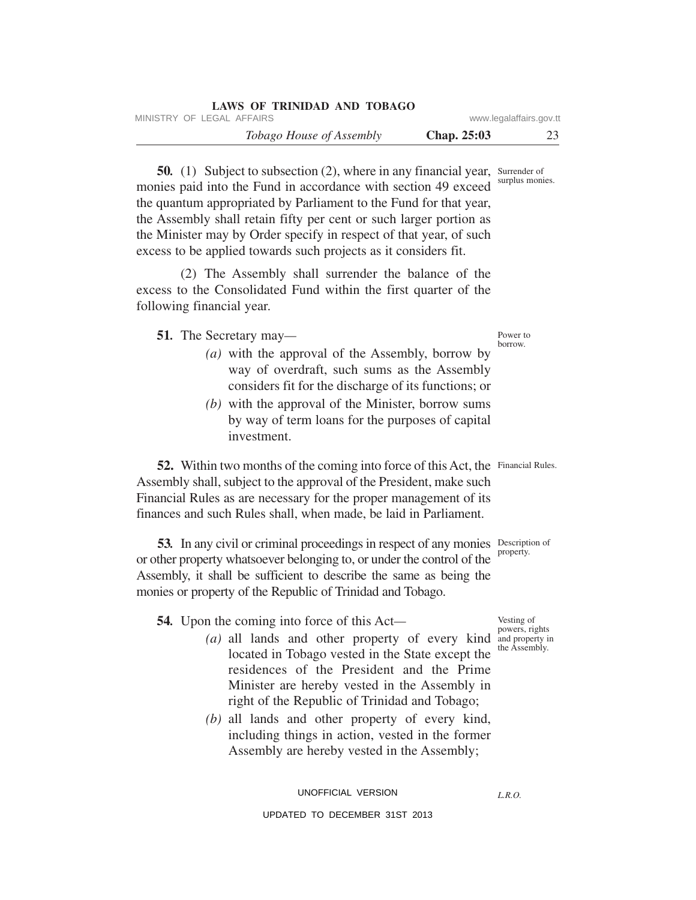| LAWS OF TRINIDAD AND TOBAGO     |               |                         |
|---------------------------------|---------------|-------------------------|
| MINISTRY OF LEGAL AFFAIRS       |               | www.legalaffairs.gov.tt |
| <i>Tobago House of Assembly</i> | Chap. $25:03$ |                         |

50. (1) Subject to subsection (2), where in any financial year, Surrender of surplus monies. monies paid into the Fund in accordance with section 49 exceed the quantum appropriated by Parliament to the Fund for that year, the Assembly shall retain fifty per cent or such larger portion as the Minister may by Order specify in respect of that year, of such excess to be applied towards such projects as it considers fit.

(2) The Assembly shall surrender the balance of the excess to the Consolidated Fund within the first quarter of the following financial year.

**51***.* The Secretary may*—*

- *(a)* with the approval of the Assembly, borrow by way of overdraft, such sums as the Assembly considers fit for the discharge of its functions; or
- *(b)* with the approval of the Minister, borrow sums by way of term loans for the purposes of capital investment.

52. Within two months of the coming into force of this Act, the Financial Rules. Assembly shall, subject to the approval of the President, make such Financial Rules as are necessary for the proper management of its finances and such Rules shall, when made, be laid in Parliament.

53. In any civil or criminal proceedings in respect of any monies Description of or other property whatsoever belonging to, or under the control of the Assembly, it shall be sufficient to describe the same as being the monies or property of the Republic of Trinidad and Tobago.

**54***.* Upon the coming into force of this Act*—*

- (a) all lands and other property of every kind and property in located in Tobago vested in the State except the residences of the President and the Prime Minister are hereby vested in the Assembly in right of the Republic of Trinidad and Tobago;
- *(b)* all lands and other property of every kind, including things in action, vested in the former Assembly are hereby vested in the Assembly;

*L.R.O.* 

Power to borrow.

property.

Vesting of powers, rights the Assembly.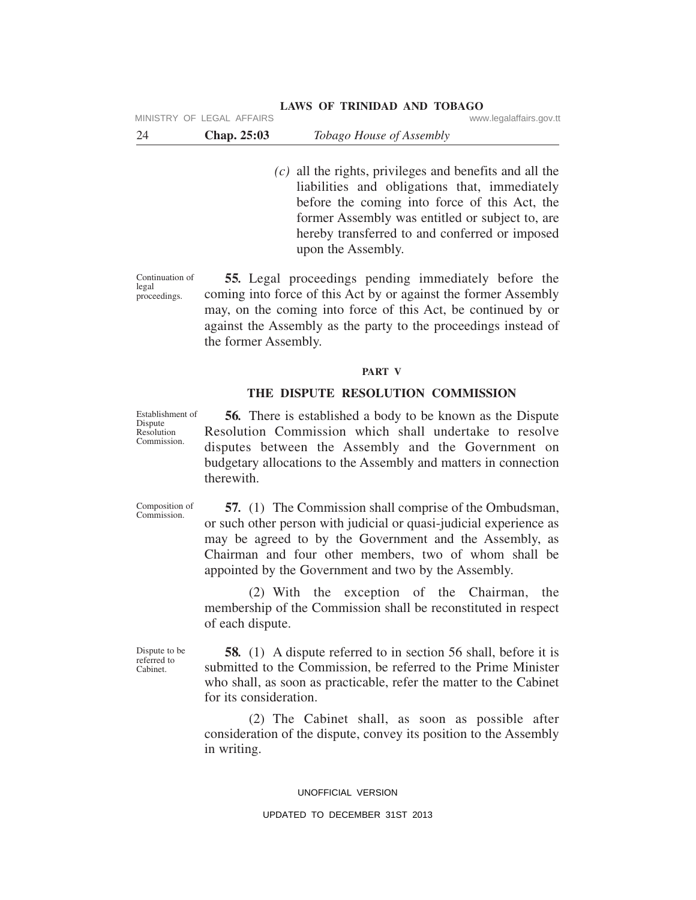| 24 | <b>Chap. 25:03</b> | Tobago House of Assembly |  |
|----|--------------------|--------------------------|--|
|----|--------------------|--------------------------|--|

*(c)* all the rights, privileges and benefits and all the liabilities and obligations that, immediately before the coming into force of this Act, the former Assembly was entitled or subject to, are hereby transferred to and conferred or imposed upon the Assembly.

Continuation of legal proceedings.

**55***.* Legal proceedings pending immediately before the coming into force of this Act by or against the former Assembly may, on the coming into force of this Act, be continued by or against the Assembly as the party to the proceedings instead of the former Assembly.

#### **PART V**

#### **THE DISPUTE RESOLUTION COMMISSION**

Establishment of

**56***.* There is established a body to be known as the Dispute Resolution Commission which shall undertake to resolve disputes between the Assembly and the Government on budgetary allocations to the Assembly and matters in connection therewith.

Composition of Commission.

**57***.* (1) The Commission shall comprise of the Ombudsman, or such other person with judicial or quasi-judicial experience as may be agreed to by the Government and the Assembly, as Chairman and four other members, two of whom shall be appointed by the Government and two by the Assembly.

(2) With the exception of the Chairman, the membership of the Commission shall be reconstituted in respect of each dispute.

Dispute to be referred to Cabinet.

**58***.* (1) A dispute referred to in section 56 shall, before it is submitted to the Commission, be referred to the Prime Minister who shall, as soon as practicable, refer the matter to the Cabinet for its consideration.

(2) The Cabinet shall, as soon as possible after consideration of the dispute, convey its position to the Assembly in writing.

#### UNOFFICIAL VERSION

#### UPDATED TO DECEMBER 31ST 2013

Dispute Resolution Commission.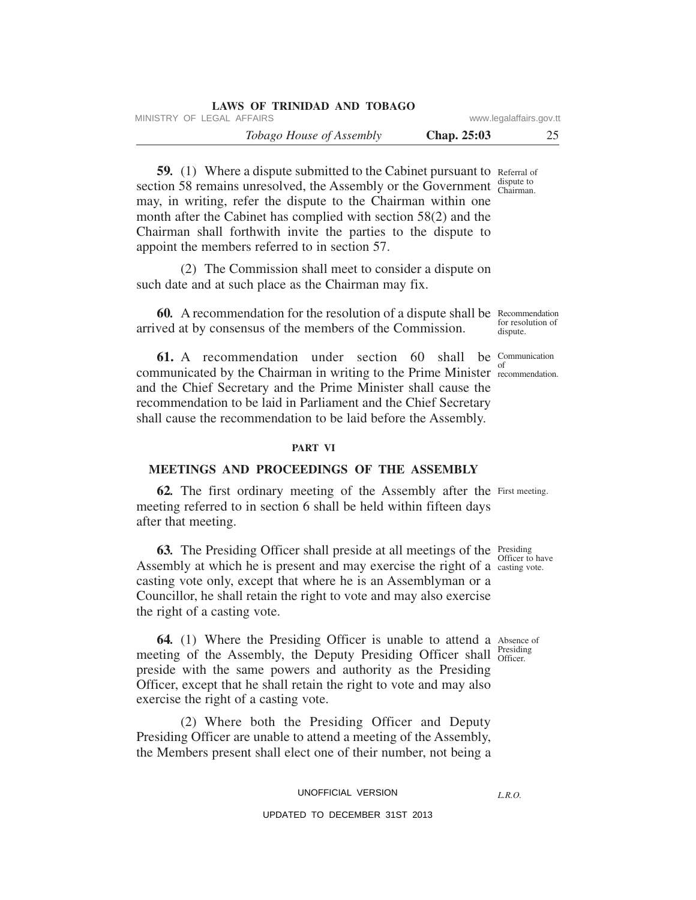| LAWS OF TRINIDAD AND TOBAGO     |               |                         |
|---------------------------------|---------------|-------------------------|
| MINISTRY OF LEGAL AFFAIRS       |               | www.legalaffairs.gov.tt |
| <i>Tobago House of Assembly</i> | Chap. $25:03$ | 25                      |

59. (1) Where a dispute submitted to the Cabinet pursuant to Referral of dispute to section 58 remains unresolved, the Assembly or the Government  $\frac{d\textrm{ispute to}}{\textrm{Chairman}}$ . may, in writing, refer the dispute to the Chairman within one month after the Cabinet has complied with section 58(2) and the Chairman shall forthwith invite the parties to the dispute to appoint the members referred to in section 57.

(2) The Commission shall meet to consider a dispute on such date and at such place as the Chairman may fix.

60. A recommendation for the resolution of a dispute shall be Recommendation for resolution of arrived at by consensus of the members of the Commission.

**61.** A recommendation under section 60 shall be Communication communicated by the Chairman in writing to the Prime Minister recommendation. and the Chief Secretary and the Prime Minister shall cause the recommendation to be laid in Parliament and the Chief Secretary shall cause the recommendation to be laid before the Assembly.

#### **PART VI**

## **MEETINGS AND PROCEEDINGS OF THE ASSEMBLY**

62. The first ordinary meeting of the Assembly after the First meeting. meeting referred to in section 6 shall be held within fifteen days after that meeting.

**63.** The Presiding Officer shall preside at all meetings of the Presiding Assembly at which he is present and may exercise the right of a  $\frac{\text{coker of the}}{\text{casting vote}}$ . casting vote only, except that where he is an Assemblyman or a Councillor, he shall retain the right to vote and may also exercise the right of a casting vote.

**64.** (1) Where the Presiding Officer is unable to attend a Absence of Presiding meeting of the Assembly, the Deputy Presiding Officer shall *Presidin* preside with the same powers and authority as the Presiding Officer, except that he shall retain the right to vote and may also exercise the right of a casting vote.

(2) Where both the Presiding Officer and Deputy Presiding Officer are unable to attend a meeting of the Assembly, the Members present shall elect one of their number, not being a

#### UNOFFICIAL VERSION

## UPDATED TO DECEMBER 31ST 2013

*L.R.O.* 

Officer to have

dispute.

of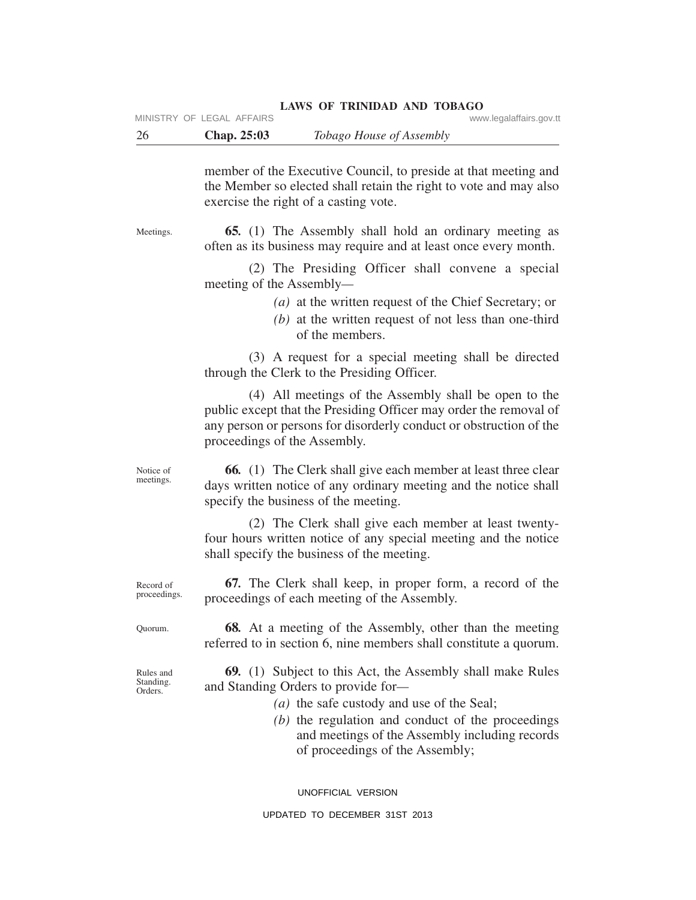| 26                                | Chap. 25:03<br>Tobago House of Assembly                                                                                                                                                                                                                                                         |
|-----------------------------------|-------------------------------------------------------------------------------------------------------------------------------------------------------------------------------------------------------------------------------------------------------------------------------------------------|
|                                   | member of the Executive Council, to preside at that meeting and<br>the Member so elected shall retain the right to vote and may also<br>exercise the right of a casting vote.                                                                                                                   |
| Meetings.                         | <b>65.</b> (1) The Assembly shall hold an ordinary meeting as<br>often as its business may require and at least once every month.                                                                                                                                                               |
|                                   | (2) The Presiding Officer shall convene a special<br>meeting of the Assembly—                                                                                                                                                                                                                   |
|                                   | (a) at the written request of the Chief Secretary; or<br>$(b)$ at the written request of not less than one-third<br>of the members.                                                                                                                                                             |
|                                   | (3) A request for a special meeting shall be directed<br>through the Clerk to the Presiding Officer.                                                                                                                                                                                            |
|                                   | (4) All meetings of the Assembly shall be open to the<br>public except that the Presiding Officer may order the removal of<br>any person or persons for disorderly conduct or obstruction of the<br>proceedings of the Assembly.                                                                |
| Notice of<br>meetings.            | <b>66.</b> (1) The Clerk shall give each member at least three clear<br>days written notice of any ordinary meeting and the notice shall<br>specify the business of the meeting.                                                                                                                |
|                                   | (2) The Clerk shall give each member at least twenty-<br>four hours written notice of any special meeting and the notice<br>shall specify the business of the meeting.                                                                                                                          |
| Record of<br>proceedings.         | <b>67.</b> The Clerk shall keep, in proper form, a record of the<br>proceedings of each meeting of the Assembly.                                                                                                                                                                                |
| Quorum.                           | 68. At a meeting of the Assembly, other than the meeting<br>referred to in section 6, nine members shall constitute a quorum.                                                                                                                                                                   |
| Rules and<br>Standing.<br>Orders. | <b>69.</b> (1) Subject to this Act, the Assembly shall make Rules<br>and Standing Orders to provide for-<br>(a) the safe custody and use of the Seal;<br>(b) the regulation and conduct of the proceedings<br>and meetings of the Assembly including records<br>of proceedings of the Assembly; |

UNOFFICIAL VERSION

## UPDATED TO DECEMBER 31ST 2013

## **LAWS OF TRINIDAD AND TOBAGO**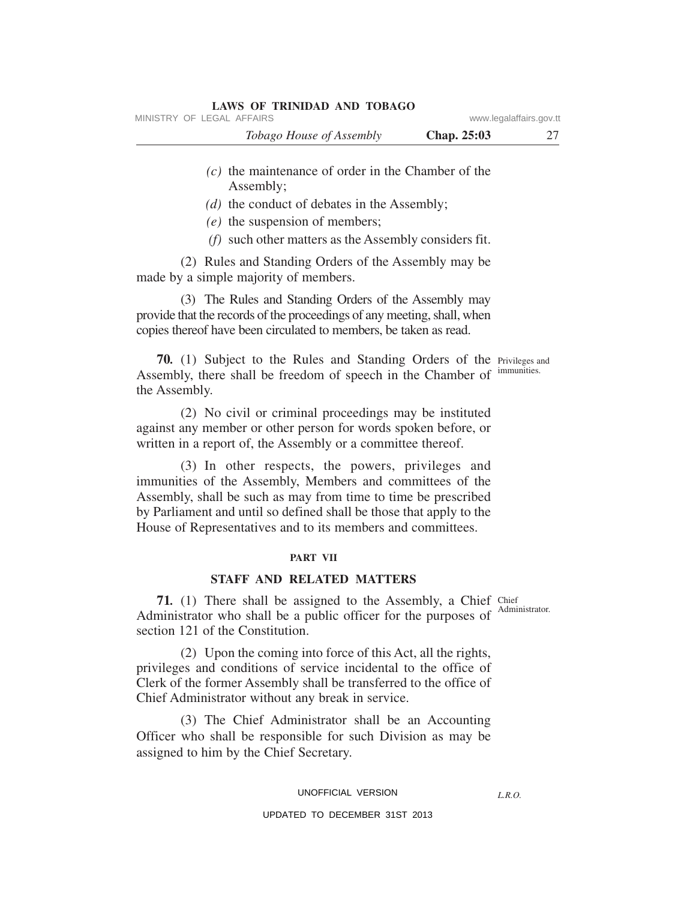| MINISTRY OF LEGAL AFFAIRS       |                    | www.legalaffairs.gov.tt |
|---------------------------------|--------------------|-------------------------|
| <i>Tobago House of Assembly</i> | <b>Chap. 25:03</b> |                         |
|                                 |                    |                         |

- *(c)* the maintenance of order in the Chamber of the Assembly;
- *(d)* the conduct of debates in the Assembly;
- *(e)* the suspension of members;
- *(f)* such other matters as the Assembly considers fit.

(2) Rules and Standing Orders of the Assembly may be made by a simple majority of members.

**LAWS OF TRINIDAD AND TOBAGO**

(3) The Rules and Standing Orders of the Assembly may provide that the records of the proceedings of any meeting, shall, when copies thereof have been circulated to members, be taken as read.

70. (1) Subject to the Rules and Standing Orders of the Privileges and Assembly, there shall be freedom of speech in the Chamber of immunities. the Assembly.

(2) No civil or criminal proceedings may be instituted against any member or other person for words spoken before, or written in a report of, the Assembly or a committee thereof.

(3) In other respects, the powers, privileges and immunities of the Assembly, Members and committees of the Assembly, shall be such as may from time to time be prescribed by Parliament and until so defined shall be those that apply to the House of Representatives and to its members and committees.

#### **PART VII**

#### **STAFF AND RELATED MATTERS**

71. (1) There shall be assigned to the Assembly, a Chief Chief Administrator who shall be a public officer for the purposes of section 121 of the Constitution.

(2) Upon the coming into force of this Act, all the rights, privileges and conditions of service incidental to the office of Clerk of the former Assembly shall be transferred to the office of Chief Administrator without any break in service.

(3) The Chief Administrator shall be an Accounting Officer who shall be responsible for such Division as may be assigned to him by the Chief Secretary.

#### UNOFFICIAL VERSION

#### UPDATED TO DECEMBER 31ST 2013

Administrator.

*L.R.O.*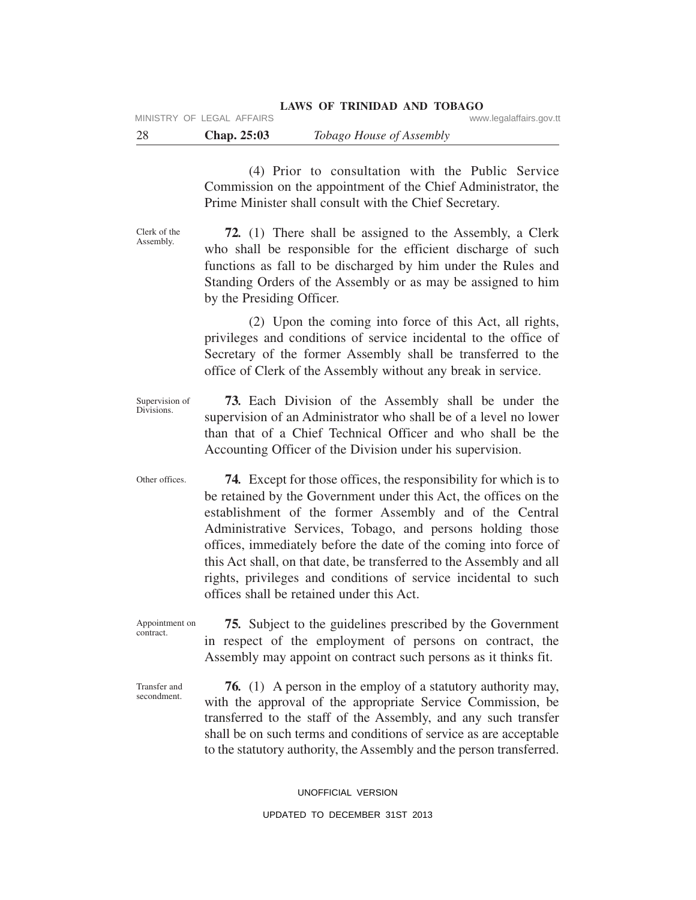(4) Prior to consultation with the Public Service Commission on the appointment of the Chief Administrator, the Prime Minister shall consult with the Chief Secretary.

Clerk of the Assembly.

**72***.* (1) There shall be assigned to the Assembly, a Clerk who shall be responsible for the efficient discharge of such functions as fall to be discharged by him under the Rules and Standing Orders of the Assembly or as may be assigned to him by the Presiding Officer.

(2) Upon the coming into force of this Act, all rights, privileges and conditions of service incidental to the office of Secretary of the former Assembly shall be transferred to the office of Clerk of the Assembly without any break in service.

Supervision of Divisions. **73***.* Each Division of the Assembly shall be under the supervision of an Administrator who shall be of a level no lower than that of a Chief Technical Officer and who shall be the Accounting Officer of the Division under his supervision.

Other offices. **74***.* Except for those offices, the responsibility for which is to be retained by the Government under this Act, the offices on the establishment of the former Assembly and of the Central Administrative Services, Tobago, and persons holding those offices, immediately before the date of the coming into force of this Act shall, on that date, be transferred to the Assembly and all rights, privileges and conditions of service incidental to such offices shall be retained under this Act.

Appointment on contract. **75***.* Subject to the guidelines prescribed by the Government in respect of the employment of persons on contract, the Assembly may appoint on contract such persons as it thinks fit.

Transfer and secondment.

**76***.* (1) A person in the employ of a statutory authority may, with the approval of the appropriate Service Commission, be transferred to the staff of the Assembly, and any such transfer shall be on such terms and conditions of service as are acceptable to the statutory authority, the Assembly and the person transferred.

#### UNOFFICIAL VERSION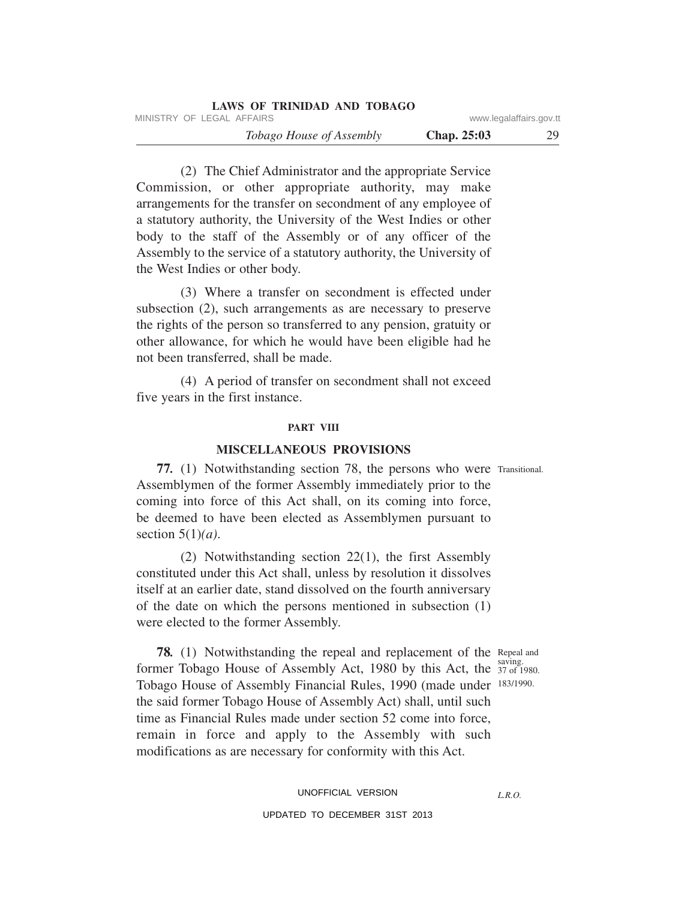| LAWS OF TRINIDAD AND TOBAGO     |               |                         |
|---------------------------------|---------------|-------------------------|
| MINISTRY OF LEGAL AFFAIRS       |               | www.legalaffairs.gov.tt |
| <i>Tobago House of Assembly</i> | Chap. $25:03$ | 29                      |

(2) The Chief Administrator and the appropriate Service Commission, or other appropriate authority, may make arrangements for the transfer on secondment of any employee of a statutory authority, the University of the West Indies or other body to the staff of the Assembly or of any officer of the Assembly to the service of a statutory authority, the University of the West Indies or other body.

(3) Where a transfer on secondment is effected under subsection (2), such arrangements as are necessary to preserve the rights of the person so transferred to any pension, gratuity or other allowance, for which he would have been eligible had he not been transferred, shall be made.

(4) A period of transfer on secondment shall not exceed five years in the first instance.

#### **PART VIII**

## **MISCELLANEOUS PROVISIONS**

77. (1) Notwithstanding section 78, the persons who were Transitional. Assemblymen of the former Assembly immediately prior to the coming into force of this Act shall, on its coming into force, be deemed to have been elected as Assemblymen pursuant to section 5(1)*(a)*.

(2) Notwithstanding section 22(1), the first Assembly constituted under this Act shall, unless by resolution it dissolves itself at an earlier date, stand dissolved on the fourth anniversary of the date on which the persons mentioned in subsection (1) were elected to the former Assembly.

**78.** (1) Notwithstanding the repeal and replacement of the Repeal and saving. former Tobago House of Assembly Act, 1980 by this Act, the  $\frac{337 \text{ mF}}{37 \text{ of } 1980}$ . Tobago House of Assembly Financial Rules, 1990 (made under 183/1990. the said former Tobago House of Assembly Act) shall, until such time as Financial Rules made under section 52 come into force, remain in force and apply to the Assembly with such modifications as are necessary for conformity with this Act.

# UNOFFICIAL VERSION UPDATED TO DECEMBER 31ST 2013

*L.R.O.*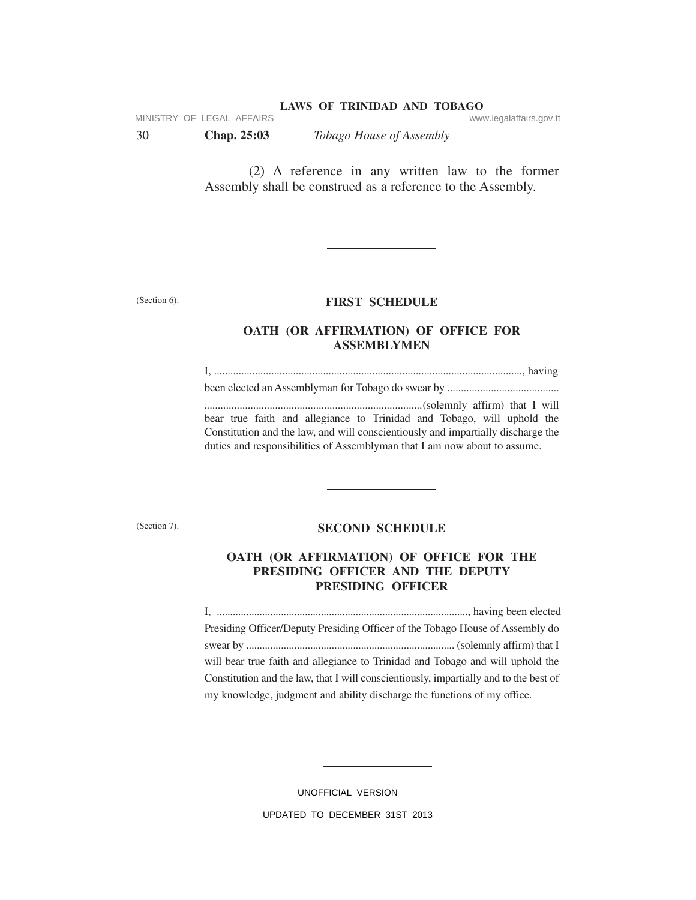MINISTRY OF LEGAL AFFAIRS **WARE ACCOMPTED MINISTRY** OF LEGAL AFFAIRS

30 **Chap. 25:03** *Tobago House of Assembly*

(2) A reference in any written law to the former Assembly shall be construed as a reference to the Assembly.

(Section 6).

#### **FIRST SCHEDULE**

## **OATH (OR AFFIRMATION) OF OFFICE FOR ASSEMBLYMEN**

I, ................................................................................................................., having been elected an Assemblyman for Tobago do swear by ......................................... *................................................................................*(solemnly affirm) that I will bear true faith and allegiance to Trinidad and Tobago, will uphold the Constitution and the law, and will conscientiously and impartially discharge the duties and responsibilities of Assemblyman that I am now about to assume.

(Section 7).

## **SECOND SCHEDULE**

## **OATH (OR AFFIRMATION) OF OFFICE FOR THE PRESIDING OFFICER AND THE DEPUTY PRESIDING OFFICER**

I, .............................................................................................., having been elected Presiding Officer/Deputy Presiding Officer of the Tobago House of Assembly do swear by .............................................................................. (solemnly affirm) that I will bear true faith and allegiance to Trinidad and Tobago and will uphold the Constitution and the law, that I will conscientiously, impartially and to the best of my knowledge, judgment and ability discharge the functions of my office.

> UNOFFICIAL VERSION UPDATED TO DECEMBER 31ST 2013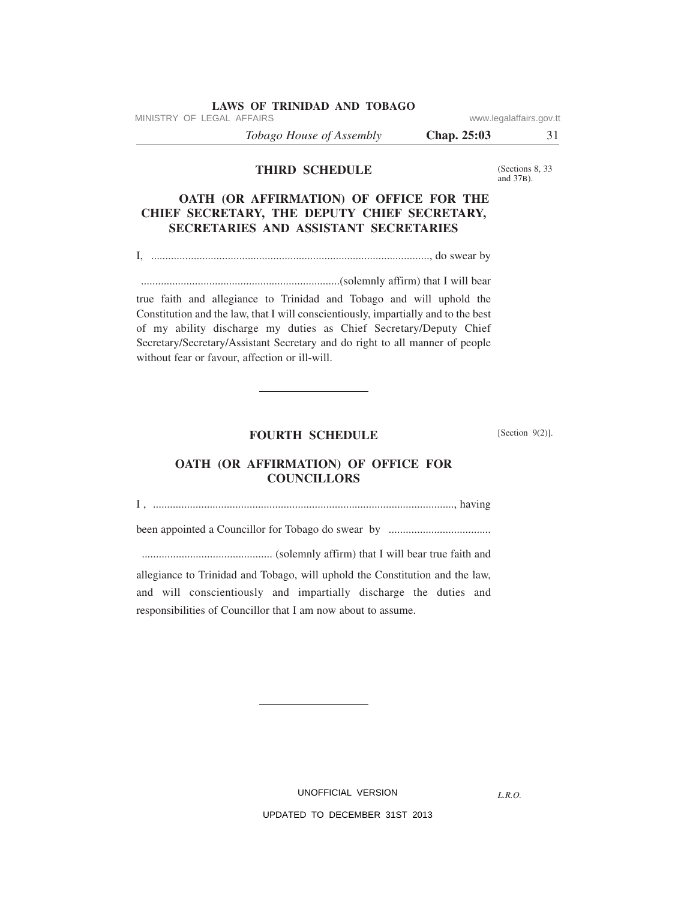MINISTRY OF LEGAL AFFAIRS **WARE ACCOMPTED MINISTRY** OF LEGAL AFFAIRS

*Tobago House of Assembly* **Chap. 25:03** 31

**THIRD SCHEDULE**

(Sections 8, 33 and 37B).

## **OATH (OR AFFIRMATION) OF OFFICE FOR THE CHIEF SECRETARY, THE DEPUTY CHIEF SECRETARY, SECRETARIES AND ASSISTANT SECRETARIES**

I, .................................................................................................., do swear by

......................................................................(solemnly affirm) that I will bear

true faith and allegiance to Trinidad and Tobago and will uphold the Constitution and the law, that I will conscientiously, impartially and to the best of my ability discharge my duties as Chief Secretary/Deputy Chief Secretary/Secretary/Assistant Secretary and do right to all manner of people without fear or favour, affection or ill-will.

#### **FOURTH SCHEDULE**

 $[Section 9(2)].$ 

# **OATH (OR AFFIRMATION) OF OFFICE FOR COUNCILLORS**

I , .........................................................................................................., having

been appointed a Councillor for Tobago do swear by ....................................

.............................................. (solemnly affirm) that I will bear true faith and

allegiance to Trinidad and Tobago, will uphold the Constitution and the law, and will conscientiously and impartially discharge the duties and responsibilities of Councillor that I am now about to assume.

UNOFFICIAL VERSION

*L.R.O.*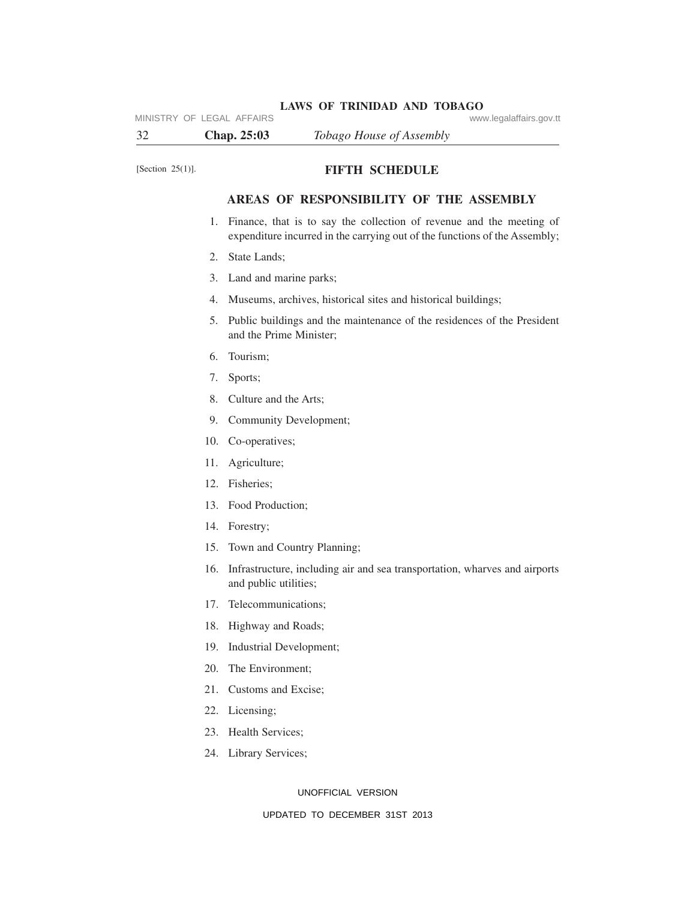**LAWS OF TRINIDAD AND TOBAGO** MINISTRY OF LEGAL AFFAIRS **WARE ACCOMPTED MINISTRY** OF LEGAL AFFAIRS

32 **Chap. 25:03** *Tobago House of Assembly*

## [Section 25(1)]. **FIFTH SCHEDULE**

## **AREAS OF RESPONSIBILITY OF THE ASSEMBLY**

- 1. Finance, that is to say the collection of revenue and the meeting of expenditure incurred in the carrying out of the functions of the Assembly;
- 2. State Lands;
- 3. Land and marine parks;
- 4. Museums, archives, historical sites and historical buildings;
- 5. Public buildings and the maintenance of the residences of the President and the Prime Minister;
- 6. Tourism;
- 7. Sports;
- 8. Culture and the Arts;
- 9. Community Development;
- 10. Co-operatives;
- 11. Agriculture;
- 12. Fisheries;
- 13. Food Production;
- 14. Forestry;
- 15. Town and Country Planning;
- 16. Infrastructure, including air and sea transportation, wharves and airports and public utilities;
- 17. Telecommunications;
- 18. Highway and Roads;
- 19. Industrial Development;
- 20. The Environment;
- 21. Customs and Excise;
- 22. Licensing;
- 23. Health Services;
- 24. Library Services;

UNOFFICIAL VERSION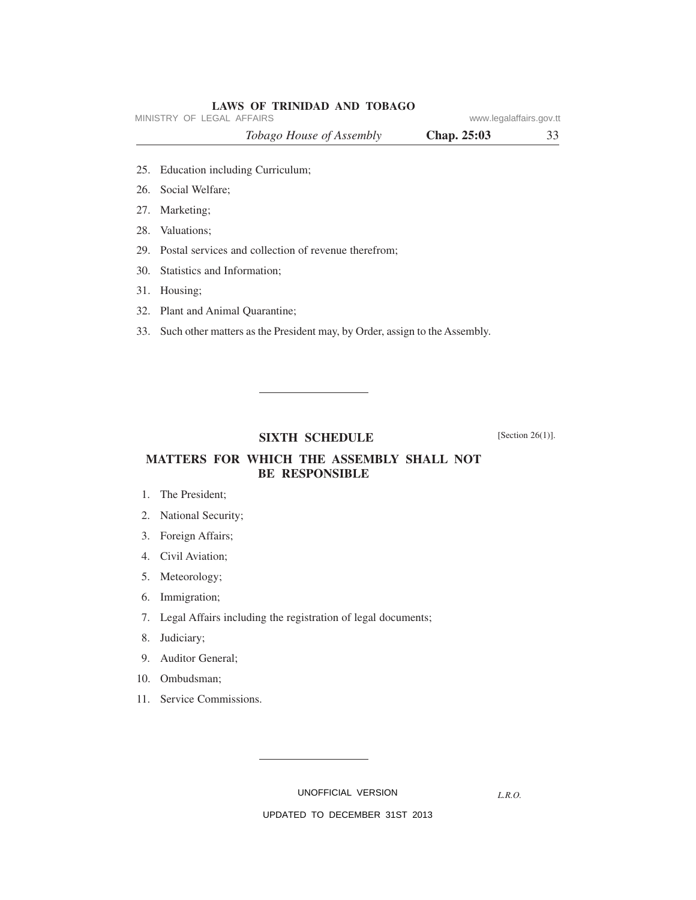| LAWS OF TRINIDAD AND TOBAGO |                         |    |
|-----------------------------|-------------------------|----|
| MINISTRY OF LEGAL AFFAIRS   | www.legalaffairs.gov.tt |    |
| Tobago House of Assembly    | Chap. $25:03$           | 33 |
|                             |                         |    |

- 25. Education including Curriculum;
- 26. Social Welfare;
- 27. Marketing;
- 28. Valuations;
- 29. Postal services and collection of revenue therefrom;
- 30. Statistics and Information;
- 31. Housing;
- 32. Plant and Animal Quarantine;
- 33. Such other matters as the President may, by Order, assign to the Assembly.

## **SIXTH SCHEDULE**

[Section 26(1)].

## **MATTERS FOR WHICH THE ASSEMBLY SHALL NOT BE RESPONSIBLE**

- 1. The President;
- 2. National Security;
- 3. Foreign Affairs;
- 4. Civil Aviation;
- 5. Meteorology;
- 6. Immigration;
- 7. Legal Affairs including the registration of legal documents;
- 8. Judiciary;
- 9. Auditor General;
- 10. Ombudsman;
- 11. Service Commissions.

UNOFFICIAL VERSION

*L.R.O.*